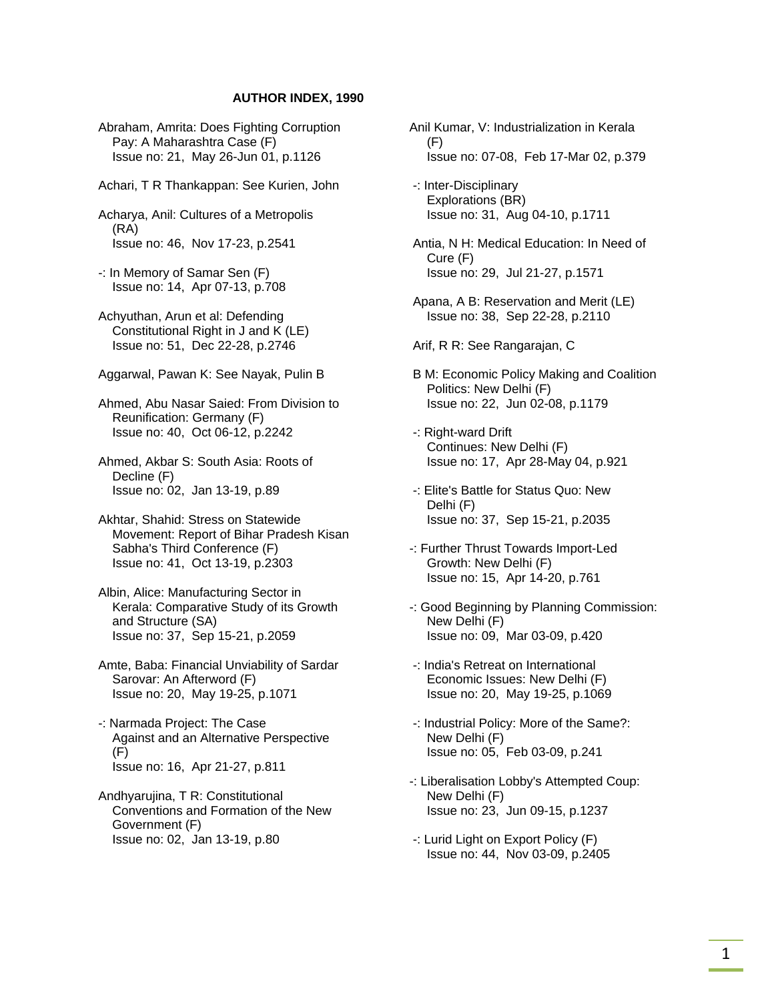## **AUTHOR INDEX, 1990**

 Abraham, Amrita: Does Fighting Corruption Pay: A Maharashtra Case (F) Issue no: 21, May 26-Jun 01, p.1126

Achari, T R Thankappan: See Kurien, John

 Acharya, Anil: Cultures of a Metropolis (RA) Issue no: 46, Nov 17-23, p.2541

 -: In Memory of Samar Sen (F) Issue no: 14, Apr 07-13, p.708

 Achyuthan, Arun et al: Defending Constitutional Right in J and K (LE) Issue no: 51, Dec 22-28, p.2746

Aggarwal, Pawan K: See Nayak, Pulin B

 Ahmed, Abu Nasar Saied: From Division to Reunification: Germany (F) Issue no: 40, Oct 06-12, p.2242

 Ahmed, Akbar S: South Asia: Roots of Decline (F) Issue no: 02, Jan 13-19, p.89

 Akhtar, Shahid: Stress on Statewide Movement: Report of Bihar Pradesh Kisan Sabha's Third Conference (F) Issue no: 41, Oct 13-19, p.2303

 Albin, Alice: Manufacturing Sector in Kerala: Comparative Study of its Growth and Structure (SA) Issue no: 37, Sep 15-21, p.2059

 Amte, Baba: Financial Unviability of Sardar Sarovar: An Afterword (F) Issue no: 20, May 19-25, p.1071

 -: Narmada Project: The Case Against and an Alternative Perspective (F) Issue no: 16, Apr 21-27, p.811

 Andhyarujina, T R: Constitutional Conventions and Formation of the New Government (F) Issue no: 02, Jan 13-19, p.80

Anil Kumar, V: Industrialization in Kerala  $(F)$ Issue no: 07-08, Feb 17-Mar 02, p.379

 -: Inter-Disciplinary Explorations (BR) Issue no: 31, Aug 04-10, p.1711

 Antia, N H: Medical Education: In Need of Cure (F) Issue no: 29, Jul 21-27, p.1571

 Apana, A B: Reservation and Merit (LE) Issue no: 38, Sep 22-28, p.2110

Arif, R R: See Rangarajan, C

- B M: Economic Policy Making and Coalition Politics: New Delhi (F) Issue no: 22, Jun 02-08, p.1179
- -: Right-ward Drift Continues: New Delhi (F) Issue no: 17, Apr 28-May 04, p.921
- -: Elite's Battle for Status Quo: New Delhi (F) Issue no: 37, Sep 15-21, p.2035
- -: Further Thrust Towards Import-Led Growth: New Delhi (F) Issue no: 15, Apr 14-20, p.761
- -: Good Beginning by Planning Commission: New Delhi (F) Issue no: 09, Mar 03-09, p.420
- -: India's Retreat on International Economic Issues: New Delhi (F) Issue no: 20, May 19-25, p.1069
- -: Industrial Policy: More of the Same?: New Delhi (F) Issue no: 05, Feb 03-09, p.241
- -: Liberalisation Lobby's Attempted Coup: New Delhi (F) Issue no: 23, Jun 09-15, p.1237
- -: Lurid Light on Export Policy (F) Issue no: 44, Nov 03-09, p.2405

1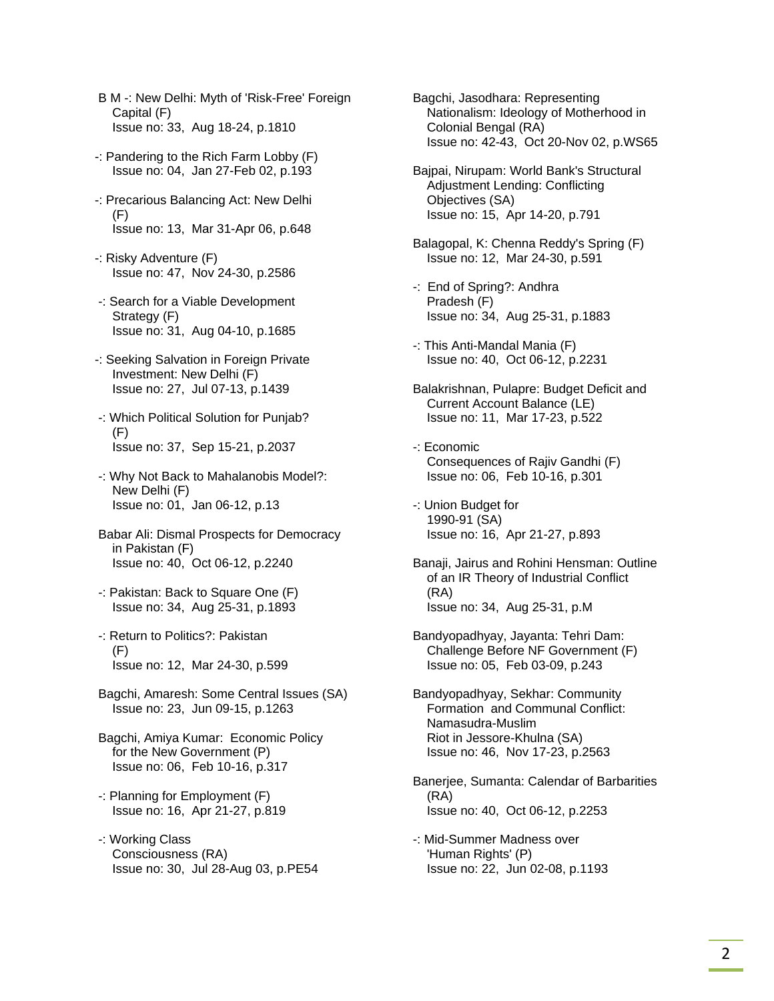- B M -: New Delhi: Myth of 'Risk-Free' Foreign Capital (F) Issue no: 33, Aug 18-24, p.1810
- -: Pandering to the Rich Farm Lobby (F) Issue no: 04, Jan 27-Feb 02, p.193
- -: Precarious Balancing Act: New Delhi (F) Issue no: 13, Mar 31-Apr 06, p.648
- -: Risky Adventure (F) Issue no: 47, Nov 24-30, p.2586
- -: Search for a Viable Development Strategy (F) Issue no: 31, Aug 04-10, p.1685
- -: Seeking Salvation in Foreign Private Investment: New Delhi (F) Issue no: 27, Jul 07-13, p.1439
- -: Which Political Solution for Punjab? (F) Issue no: 37, Sep 15-21, p.2037
- -: Why Not Back to Mahalanobis Model?: New Delhi (F) Issue no: 01, Jan 06-12, p.13
- Babar Ali: Dismal Prospects for Democracy in Pakistan (F) Issue no: 40, Oct 06-12, p.2240
- -: Pakistan: Back to Square One (F) Issue no: 34, Aug 25-31, p.1893
- -: Return to Politics?: Pakistan (F) Issue no: 12, Mar 24-30, p.599
- Bagchi, Amaresh: Some Central Issues (SA) Issue no: 23, Jun 09-15, p.1263
- Bagchi, Amiya Kumar: Economic Policy for the New Government (P) Issue no: 06, Feb 10-16, p.317
- -: Planning for Employment (F) Issue no: 16, Apr 21-27, p.819
- -: Working Class Consciousness (RA) Issue no: 30, Jul 28-Aug 03, p.PE54

 Bagchi, Jasodhara: Representing Nationalism: Ideology of Motherhood in Colonial Bengal (RA) Issue no: 42-43, Oct 20-Nov 02, p.WS65

- Bajpai, Nirupam: World Bank's Structural Adjustment Lending: Conflicting Objectives (SA) Issue no: 15, Apr 14-20, p.791
- Balagopal, K: Chenna Reddy's Spring (F) Issue no: 12, Mar 24-30, p.591
- -: End of Spring?: Andhra Pradesh (F) Issue no: 34, Aug 25-31, p.1883
- -: This Anti-Mandal Mania (F) Issue no: 40, Oct 06-12, p.2231
- Balakrishnan, Pulapre: Budget Deficit and Current Account Balance (LE) Issue no: 11, Mar 17-23, p.522
- -: Economic Consequences of Rajiv Gandhi (F) Issue no: 06, Feb 10-16, p.301
- -: Union Budget for 1990-91 (SA) Issue no: 16, Apr 21-27, p.893
- Banaji, Jairus and Rohini Hensman: Outline of an IR Theory of Industrial Conflict (RA) Issue no: 34, Aug 25-31, p.M
- Bandyopadhyay, Jayanta: Tehri Dam: Challenge Before NF Government (F) Issue no: 05, Feb 03-09, p.243
- Bandyopadhyay, Sekhar: Community Formation and Communal Conflict: Namasudra-Muslim Riot in Jessore-Khulna (SA) Issue no: 46, Nov 17-23, p.2563
- Banerjee, Sumanta: Calendar of Barbarities (RA) Issue no: 40, Oct 06-12, p.2253
- -: Mid-Summer Madness over 'Human Rights' (P) Issue no: 22, Jun 02-08, p.1193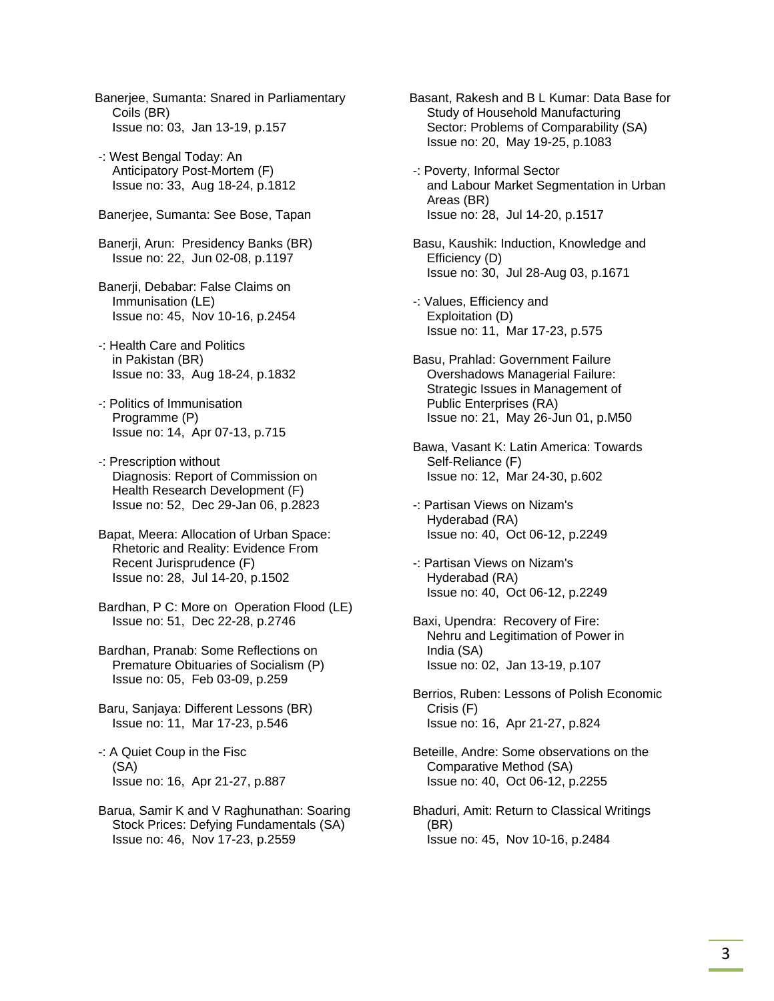- Banerjee, Sumanta: Snared in Parliamentary Coils (BR) Issue no: 03, Jan 13-19, p.157
- -: West Bengal Today: An Anticipatory Post-Mortem (F) Issue no: 33, Aug 18-24, p.1812
- Banerjee, Sumanta: See Bose, Tapan
- Banerji, Arun: Presidency Banks (BR) Issue no: 22, Jun 02-08, p.1197
- Banerji, Debabar: False Claims on Immunisation (LE) Issue no: 45, Nov 10-16, p.2454
- -: Health Care and Politics in Pakistan (BR) Issue no: 33, Aug 18-24, p.1832
- -: Politics of Immunisation Programme (P) Issue no: 14, Apr 07-13, p.715
- -: Prescription without Diagnosis: Report of Commission on Health Research Development (F) Issue no: 52, Dec 29-Jan 06, p.2823
- Bapat, Meera: Allocation of Urban Space: Rhetoric and Reality: Evidence From Recent Jurisprudence (F) Issue no: 28, Jul 14-20, p.1502
- Bardhan, P C: More on Operation Flood (LE) Issue no: 51, Dec 22-28, p.2746
- Bardhan, Pranab: Some Reflections on Premature Obituaries of Socialism (P) Issue no: 05, Feb 03-09, p.259
- Baru, Sanjaya: Different Lessons (BR) Issue no: 11, Mar 17-23, p.546
- -: A Quiet Coup in the Fisc (SA) Issue no: 16, Apr 21-27, p.887
- Barua, Samir K and V Raghunathan: Soaring Stock Prices: Defying Fundamentals (SA) Issue no: 46, Nov 17-23, p.2559
- Basant, Rakesh and B L Kumar: Data Base for Study of Household Manufacturing Sector: Problems of Comparability (SA) Issue no: 20, May 19-25, p.1083
- -: Poverty, Informal Sector and Labour Market Segmentation in Urban Areas (BR) Issue no: 28, Jul 14-20, p.1517
- Basu, Kaushik: Induction, Knowledge and Efficiency (D) Issue no: 30, Jul 28-Aug 03, p.1671
- -: Values, Efficiency and Exploitation (D) Issue no: 11, Mar 17-23, p.575
- Basu, Prahlad: Government Failure Overshadows Managerial Failure: Strategic Issues in Management of Public Enterprises (RA) Issue no: 21, May 26-Jun 01, p.M50
- Bawa, Vasant K: Latin America: Towards Self-Reliance (F) Issue no: 12, Mar 24-30, p.602
- -: Partisan Views on Nizam's Hyderabad (RA) Issue no: 40, Oct 06-12, p.2249
- -: Partisan Views on Nizam's Hyderabad (RA) Issue no: 40, Oct 06-12, p.2249
- Baxi, Upendra: Recovery of Fire: Nehru and Legitimation of Power in India (SA) Issue no: 02, Jan 13-19, p.107
- Berrios, Ruben: Lessons of Polish Economic Crisis (F) Issue no: 16, Apr 21-27, p.824
- Beteille, Andre: Some observations on the Comparative Method (SA) Issue no: 40, Oct 06-12, p.2255
- Bhaduri, Amit: Return to Classical Writings (BR) Issue no: 45, Nov 10-16, p.2484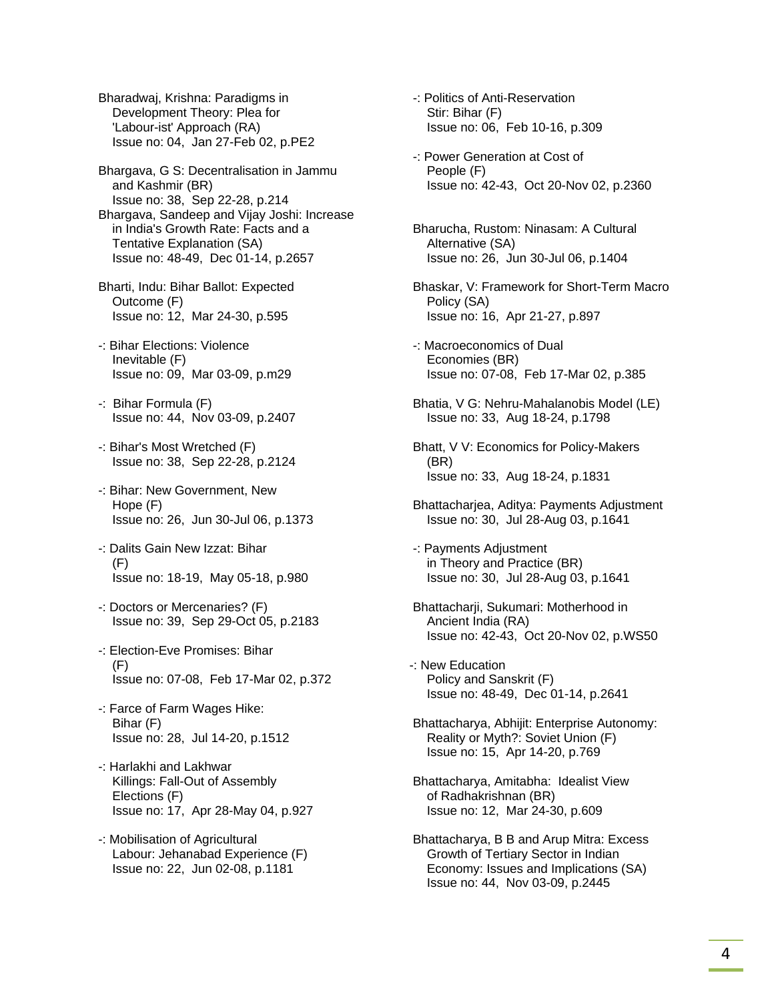Bharadwaj, Krishna: Paradigms in Development Theory: Plea for 'Labour-ist' Approach (RA) Issue no: 04, Jan 27-Feb 02, p.PE2

 Bhargava, G S: Decentralisation in Jammu and Kashmir (BR) Issue no: 38, Sep 22-28, p.214

 Bhargava, Sandeep and Vijay Joshi: Increase in India's Growth Rate: Facts and a Tentative Explanation (SA) Issue no: 48-49, Dec 01-14, p.2657

 Bharti, Indu: Bihar Ballot: Expected Outcome (F) Issue no: 12, Mar 24-30, p.595

- -: Bihar Elections: Violence Inevitable (F) Issue no: 09, Mar 03-09, p.m29
- -: Bihar Formula (F) Issue no: 44, Nov 03-09, p.2407
- -: Bihar's Most Wretched (F) Issue no: 38, Sep 22-28, p.2124
- -: Bihar: New Government, New Hope (F) Issue no: 26, Jun 30-Jul 06, p.1373
- -: Dalits Gain New Izzat: Bihar (F) Issue no: 18-19, May 05-18, p.980
- -: Doctors or Mercenaries? (F) Issue no: 39, Sep 29-Oct 05, p.2183
- -: Election-Eve Promises: Bihar (F) Issue no: 07-08, Feb 17-Mar 02, p.372
- -: Farce of Farm Wages Hike: Bihar (F) Issue no: 28, Jul 14-20, p.1512
- -: Harlakhi and Lakhwar Killings: Fall-Out of Assembly Elections (F) Issue no: 17, Apr 28-May 04, p.927
- -: Mobilisation of Agricultural Labour: Jehanabad Experience (F) Issue no: 22, Jun 02-08, p.1181

 -: Politics of Anti-Reservation Stir: Bihar (F) Issue no: 06, Feb 10-16, p.309

- -: Power Generation at Cost of People (F) Issue no: 42-43, Oct 20-Nov 02, p.2360
- Bharucha, Rustom: Ninasam: A Cultural Alternative (SA) Issue no: 26, Jun 30-Jul 06, p.1404
- Bhaskar, V: Framework for Short-Term Macro Policy (SA) Issue no: 16, Apr 21-27, p.897
- -: Macroeconomics of Dual Economies (BR) Issue no: 07-08, Feb 17-Mar 02, p.385
- Bhatia, V G: Nehru-Mahalanobis Model (LE) Issue no: 33, Aug 18-24, p.1798
- Bhatt, V V: Economics for Policy-Makers (BR) Issue no: 33, Aug 18-24, p.1831
- Bhattacharjea, Aditya: Payments Adjustment Issue no: 30, Jul 28-Aug 03, p.1641
- -: Payments Adjustment in Theory and Practice (BR) Issue no: 30, Jul 28-Aug 03, p.1641
- Bhattacharii, Sukumari: Motherhood in Ancient India (RA) Issue no: 42-43, Oct 20-Nov 02, p.WS50
- -: New Education Policy and Sanskrit (F) Issue no: 48-49, Dec 01-14, p.2641
- Bhattacharya, Abhijit: Enterprise Autonomy: Reality or Myth?: Soviet Union (F) Issue no: 15, Apr 14-20, p.769
- Bhattacharya, Amitabha: Idealist View of Radhakrishnan (BR) Issue no: 12, Mar 24-30, p.609
- Bhattacharya, B B and Arup Mitra: Excess Growth of Tertiary Sector in Indian Economy: Issues and Implications (SA) Issue no: 44, Nov 03-09, p.2445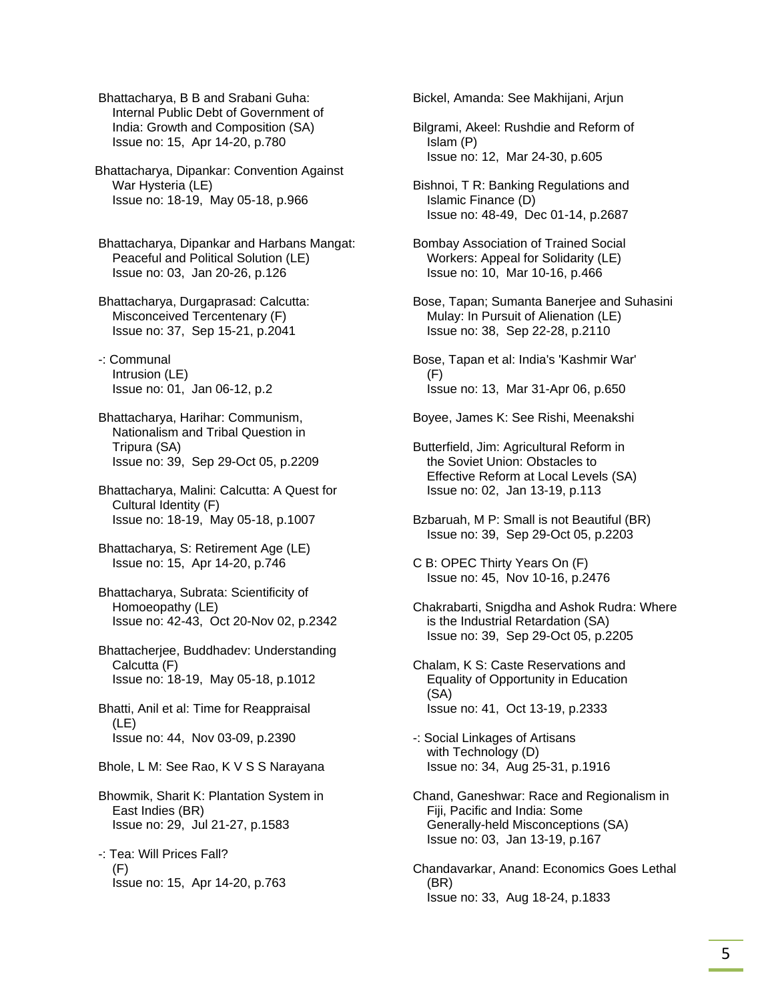Bhattacharya, B B and Srabani Guha: Internal Public Debt of Government of India: Growth and Composition (SA) Issue no: 15, Apr 14-20, p.780

Bhattacharya, Dipankar: Convention Against War Hysteria (LE) Issue no: 18-19, May 05-18, p.966

 Bhattacharya, Dipankar and Harbans Mangat: Peaceful and Political Solution (LE) Issue no: 03, Jan 20-26, p.126

 Bhattacharya, Durgaprasad: Calcutta: Misconceived Tercentenary (F) Issue no: 37, Sep 15-21, p.2041

 -: Communal Intrusion (LE) Issue no: 01, Jan 06-12, p.2

 Bhattacharya, Harihar: Communism, Nationalism and Tribal Question in Tripura (SA) Issue no: 39, Sep 29-Oct 05, p.2209

 Bhattacharya, Malini: Calcutta: A Quest for Cultural Identity (F) Issue no: 18-19, May 05-18, p.1007

 Bhattacharya, S: Retirement Age (LE) Issue no: 15, Apr 14-20, p.746

 Bhattacharya, Subrata: Scientificity of Homoeopathy (LE) Issue no: 42-43, Oct 20-Nov 02, p.2342

 Bhattacherjee, Buddhadev: Understanding Calcutta (F) Issue no: 18-19, May 05-18, p.1012

 Bhatti, Anil et al: Time for Reappraisal (LE) Issue no: 44, Nov 03-09, p.2390

Bhole, L M: See Rao, K V S S Narayana

 Bhowmik, Sharit K: Plantation System in East Indies (BR) Issue no: 29, Jul 21-27, p.1583

 -: Tea: Will Prices Fall? (F) Issue no: 15, Apr 14-20, p.763 Bickel, Amanda: See Makhijani, Arjun

 Bilgrami, Akeel: Rushdie and Reform of Islam (P) Issue no: 12, Mar 24-30, p.605

 Bishnoi, T R: Banking Regulations and Islamic Finance (D) Issue no: 48-49, Dec 01-14, p.2687

 Bombay Association of Trained Social Workers: Appeal for Solidarity (LE) Issue no: 10, Mar 10-16, p.466

 Bose, Tapan; Sumanta Banerjee and Suhasini Mulay: In Pursuit of Alienation (LE) Issue no: 38, Sep 22-28, p.2110

 Bose, Tapan et al: India's 'Kashmir War' (F) Issue no: 13, Mar 31-Apr 06, p.650

Boyee, James K: See Rishi, Meenakshi

 Butterfield, Jim: Agricultural Reform in the Soviet Union: Obstacles to Effective Reform at Local Levels (SA) Issue no: 02, Jan 13-19, p.113

 Bzbaruah, M P: Small is not Beautiful (BR) Issue no: 39, Sep 29-Oct 05, p.2203

 C B: OPEC Thirty Years On (F) Issue no: 45, Nov 10-16, p.2476

 Chakrabarti, Snigdha and Ashok Rudra: Where is the Industrial Retardation (SA) Issue no: 39, Sep 29-Oct 05, p.2205

 Chalam, K S: Caste Reservations and Equality of Opportunity in Education (SA) Issue no: 41, Oct 13-19, p.2333

 -: Social Linkages of Artisans with Technology (D) Issue no: 34, Aug 25-31, p.1916

 Chand, Ganeshwar: Race and Regionalism in Fiji, Pacific and India: Some Generally-held Misconceptions (SA) Issue no: 03, Jan 13-19, p.167

 Chandavarkar, Anand: Economics Goes Lethal (BR) Issue no: 33, Aug 18-24, p.1833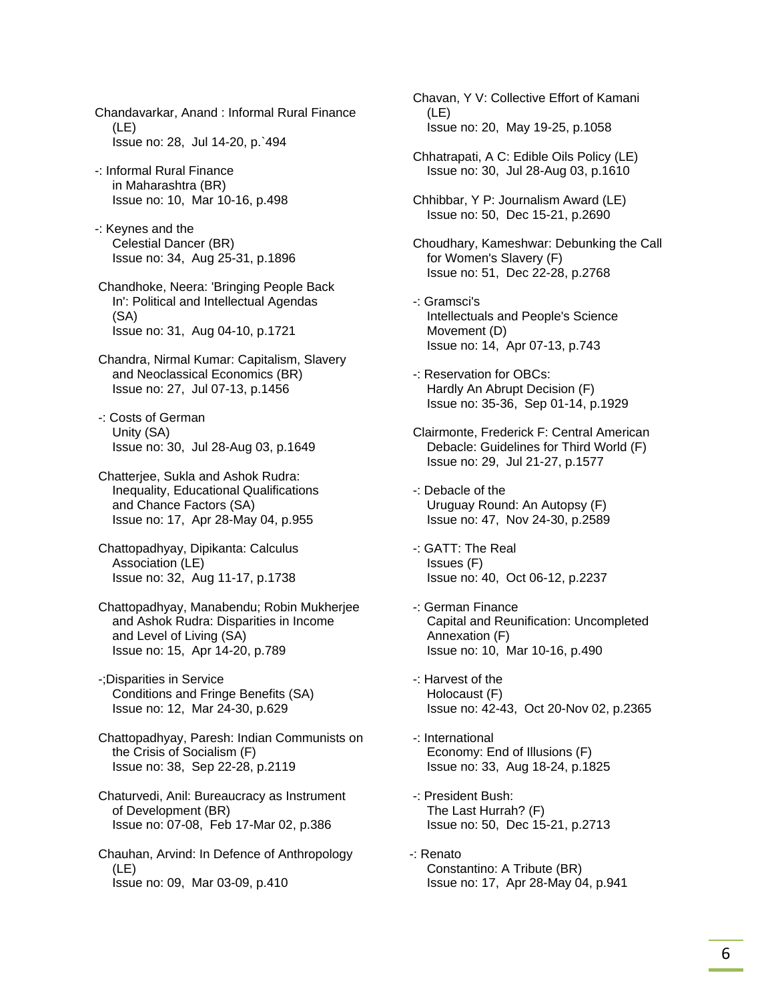Chandavarkar, Anand : Informal Rural Finance (LE) Issue no: 28, Jul 14-20, p.`494

- -: Informal Rural Finance in Maharashtra (BR) Issue no: 10, Mar 10-16, p.498
- -: Keynes and the Celestial Dancer (BR) Issue no: 34, Aug 25-31, p.1896
- Chandhoke, Neera: 'Bringing People Back In': Political and Intellectual Agendas (SA) Issue no: 31, Aug 04-10, p.1721
- Chandra, Nirmal Kumar: Capitalism, Slavery and Neoclassical Economics (BR) Issue no: 27, Jul 07-13, p.1456
- -: Costs of German Unity (SA) Issue no: 30, Jul 28-Aug 03, p.1649
- Chatterjee, Sukla and Ashok Rudra: Inequality, Educational Qualifications and Chance Factors (SA) Issue no: 17, Apr 28-May 04, p.955
- Chattopadhyay, Dipikanta: Calculus Association (LE) Issue no: 32, Aug 11-17, p.1738
- Chattopadhyay, Manabendu; Robin Mukherjee and Ashok Rudra: Disparities in Income and Level of Living (SA) Issue no: 15, Apr 14-20, p.789
- -;Disparities in Service Conditions and Fringe Benefits (SA) Issue no: 12, Mar 24-30, p.629
- Chattopadhyay, Paresh: Indian Communists on the Crisis of Socialism (F) Issue no: 38, Sep 22-28, p.2119
- Chaturvedi, Anil: Bureaucracy as Instrument of Development (BR) Issue no: 07-08, Feb 17-Mar 02, p.386
- Chauhan, Arvind: In Defence of Anthropology (LE) Issue no: 09, Mar 03-09, p.410
- Chavan, Y V: Collective Effort of Kamani (LE) Issue no: 20, May 19-25, p.1058
- Chhatrapati, A C: Edible Oils Policy (LE) Issue no: 30, Jul 28-Aug 03, p.1610
- Chhibbar, Y P: Journalism Award (LE) Issue no: 50, Dec 15-21, p.2690
- Choudhary, Kameshwar: Debunking the Call for Women's Slavery (F) Issue no: 51, Dec 22-28, p.2768
- -: Gramsci's Intellectuals and People's Science Movement (D) Issue no: 14, Apr 07-13, p.743
- -: Reservation for OBCs: Hardly An Abrupt Decision (F) Issue no: 35-36, Sep 01-14, p.1929
- Clairmonte, Frederick F: Central American Debacle: Guidelines for Third World (F) Issue no: 29, Jul 21-27, p.1577
- -: Debacle of the Uruguay Round: An Autopsy (F) Issue no: 47, Nov 24-30, p.2589
- -: GATT: The Real Issues (F) Issue no: 40, Oct 06-12, p.2237
- -: German Finance Capital and Reunification: Uncompleted Annexation (F) Issue no: 10, Mar 10-16, p.490
- -: Harvest of the Holocaust (F) Issue no: 42-43, Oct 20-Nov 02, p.2365
- -: International Economy: End of Illusions (F) Issue no: 33, Aug 18-24, p.1825
- -: President Bush: The Last Hurrah? (F) Issue no: 50, Dec 15-21, p.2713
- -: Renato Constantino: A Tribute (BR) Issue no: 17, Apr 28-May 04, p.941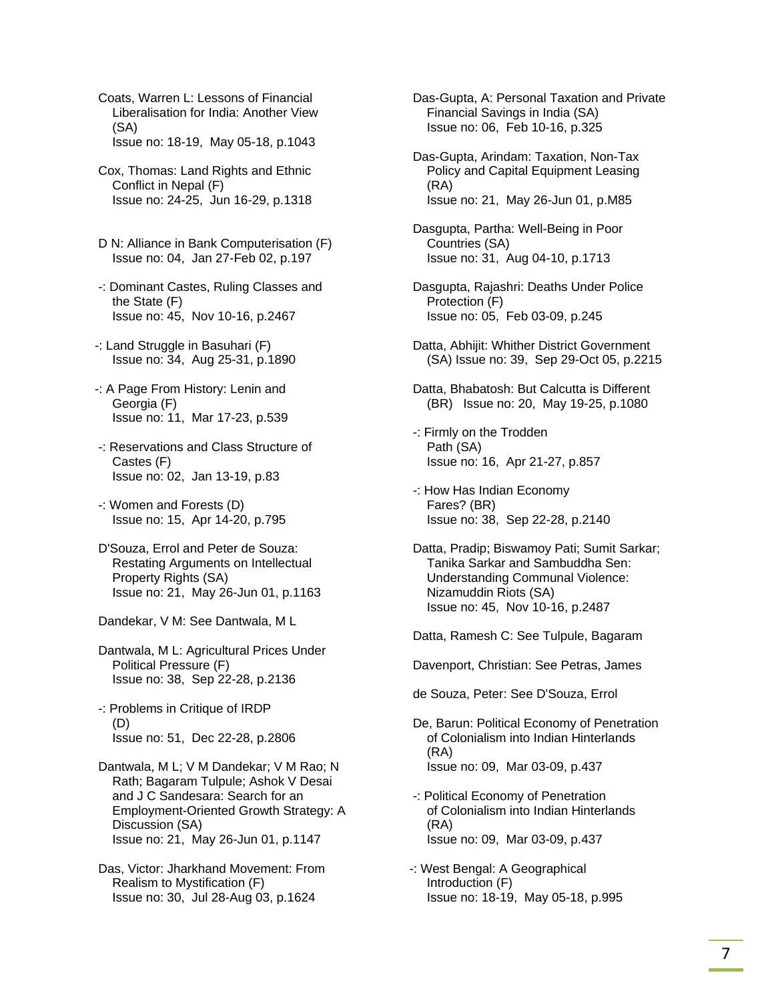Coats, Warren L: Lessons of Financial Liberalisation for India: Another View (SA) Issue no: 18-19, May 05-18, p.1043

- Cox, Thomas: Land Rights and Ethnic Conflict in Nepal (F) Issue no: 24-25, Jun 16-29, p.1318
- D N: Alliance in Bank Computerisation (F) Issue no: 04, Jan 27-Feb 02, p.197
- -: Dominant Castes, Ruling Classes and the State (F) Issue no: 45, Nov 10-16, p.2467
- -: Land Struggle in Basuhari (F) Issue no: 34, Aug 25-31, p.1890
- -: A Page From History: Lenin and Georgia (F) Issue no: 11, Mar 17-23, p.539
- -: Reservations and Class Structure of Castes (F) Issue no: 02, Jan 13-19, p.83
- -: Women and Forests (D) Issue no: 15, Apr 14-20, p.795
- D'Souza, Errol and Peter de Souza: Restating Arguments on Intellectual Property Rights (SA) Issue no: 21, May 26-Jun 01, p.1163
- Dandekar, V M: See Dantwala, M L
- Dantwala, M L: Agricultural Prices Under Political Pressure (F) Issue no: 38, Sep 22-28, p.2136
- -: Problems in Critique of IRDP (D) Issue no: 51, Dec 22-28, p.2806
- Dantwala, M L; V M Dandekar; V M Rao; N Rath; Bagaram Tulpule; Ashok V Desai and J C Sandesara: Search for an Employment-Oriented Growth Strategy: A Discussion (SA) Issue no: 21, May 26-Jun 01, p.1147
- Das, Victor: Jharkhand Movement: From Realism to Mystification (F) Issue no: 30, Jul 28-Aug 03, p.1624

 Das-Gupta, A: Personal Taxation and Private Financial Savings in India (SA) Issue no: 06, Feb 10-16, p.325

- Das-Gupta, Arindam: Taxation, Non-Tax Policy and Capital Equipment Leasing (RA) Issue no: 21, May 26-Jun 01, p.M85
- Dasgupta, Partha: Well-Being in Poor Countries (SA) Issue no: 31, Aug 04-10, p.1713
- Dasgupta, Rajashri: Deaths Under Police Protection (F) Issue no: 05, Feb 03-09, p.245
- Datta, Abhijit: Whither District Government (SA) Issue no: 39, Sep 29-Oct 05, p.2215
- Datta, Bhabatosh: But Calcutta is Different (BR) Issue no: 20, May 19-25, p.1080
- -: Firmly on the Trodden Path (SA) Issue no: 16, Apr 21-27, p.857
- -: How Has Indian Economy Fares? (BR) Issue no: 38, Sep 22-28, p.2140
- Datta, Pradip; Biswamoy Pati; Sumit Sarkar; Tanika Sarkar and Sambuddha Sen: Understanding Communal Violence: Nizamuddin Riots (SA) Issue no: 45, Nov 10-16, p.2487
- Datta, Ramesh C: See Tulpule, Bagaram
- Davenport, Christian: See Petras, James
- de Souza, Peter: See D'Souza, Errol
- De, Barun: Political Economy of Penetration of Colonialism into Indian Hinterlands (RA) Issue no: 09, Mar 03-09, p.437
- -: Political Economy of Penetration of Colonialism into Indian Hinterlands (RA) Issue no: 09, Mar 03-09, p.437
- -: West Bengal: A Geographical Introduction (F) Issue no: 18-19, May 05-18, p.995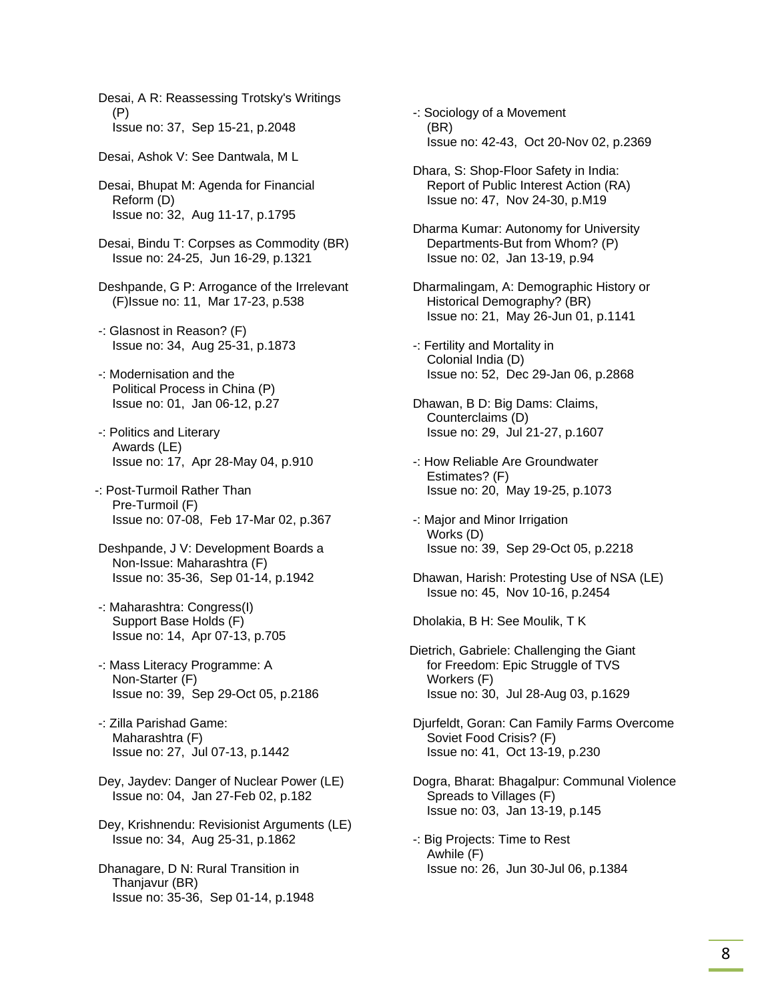Desai, A R: Reassessing Trotsky's Writings (P) Issue no: 37, Sep 15-21, p.2048

Desai, Ashok V: See Dantwala, M L

 Desai, Bhupat M: Agenda for Financial Reform (D) Issue no: 32, Aug 11-17, p.1795

 Desai, Bindu T: Corpses as Commodity (BR) Issue no: 24-25, Jun 16-29, p.1321

 Deshpande, G P: Arrogance of the Irrelevant (F)Issue no: 11, Mar 17-23, p.538

- -: Glasnost in Reason? (F) Issue no: 34, Aug 25-31, p.1873
- -: Modernisation and the Political Process in China (P) Issue no: 01, Jan 06-12, p.27
- -: Politics and Literary Awards (LE) Issue no: 17, Apr 28-May 04, p.910
- -: Post-Turmoil Rather Than Pre-Turmoil (F) Issue no: 07-08, Feb 17-Mar 02, p.367
- Deshpande, J V: Development Boards a Non-Issue: Maharashtra (F) Issue no: 35-36, Sep 01-14, p.1942
- -: Maharashtra: Congress(I) Support Base Holds (F) Issue no: 14, Apr 07-13, p.705
- -: Mass Literacy Programme: A Non-Starter (F) Issue no: 39, Sep 29-Oct 05, p.2186
- -: Zilla Parishad Game: Maharashtra (F) Issue no: 27, Jul 07-13, p.1442
- Dey, Jaydev: Danger of Nuclear Power (LE) Issue no: 04, Jan 27-Feb 02, p.182
- Dey, Krishnendu: Revisionist Arguments (LE) Issue no: 34, Aug 25-31, p.1862

 Dhanagare, D N: Rural Transition in Thanjavur (BR) Issue no: 35-36, Sep 01-14, p.1948  -: Sociology of a Movement (BR) Issue no: 42-43, Oct 20-Nov 02, p.2369

- Dhara, S: Shop-Floor Safety in India: Report of Public Interest Action (RA) Issue no: 47, Nov 24-30, p.M19
- Dharma Kumar: Autonomy for University Departments-But from Whom? (P) Issue no: 02, Jan 13-19, p.94
- Dharmalingam, A: Demographic History or Historical Demography? (BR) Issue no: 21, May 26-Jun 01, p.1141
- -: Fertility and Mortality in Colonial India (D) Issue no: 52, Dec 29-Jan 06, p.2868
- Dhawan, B D: Big Dams: Claims, Counterclaims (D) Issue no: 29, Jul 21-27, p.1607
- -: How Reliable Are Groundwater Estimates? (F) Issue no: 20, May 19-25, p.1073
- -: Major and Minor Irrigation Works (D) Issue no: 39, Sep 29-Oct 05, p.2218
- Dhawan, Harish: Protesting Use of NSA (LE) Issue no: 45, Nov 10-16, p.2454

Dholakia, B H: See Moulik, T K

- Dietrich, Gabriele: Challenging the Giant for Freedom: Epic Struggle of TVS Workers (F) Issue no: 30, Jul 28-Aug 03, p.1629
- Djurfeldt, Goran: Can Family Farms Overcome Soviet Food Crisis? (F) Issue no: 41, Oct 13-19, p.230
- Dogra, Bharat: Bhagalpur: Communal Violence Spreads to Villages (F) Issue no: 03, Jan 13-19, p.145
- -: Big Projects: Time to Rest Awhile (F) Issue no: 26, Jun 30-Jul 06, p.1384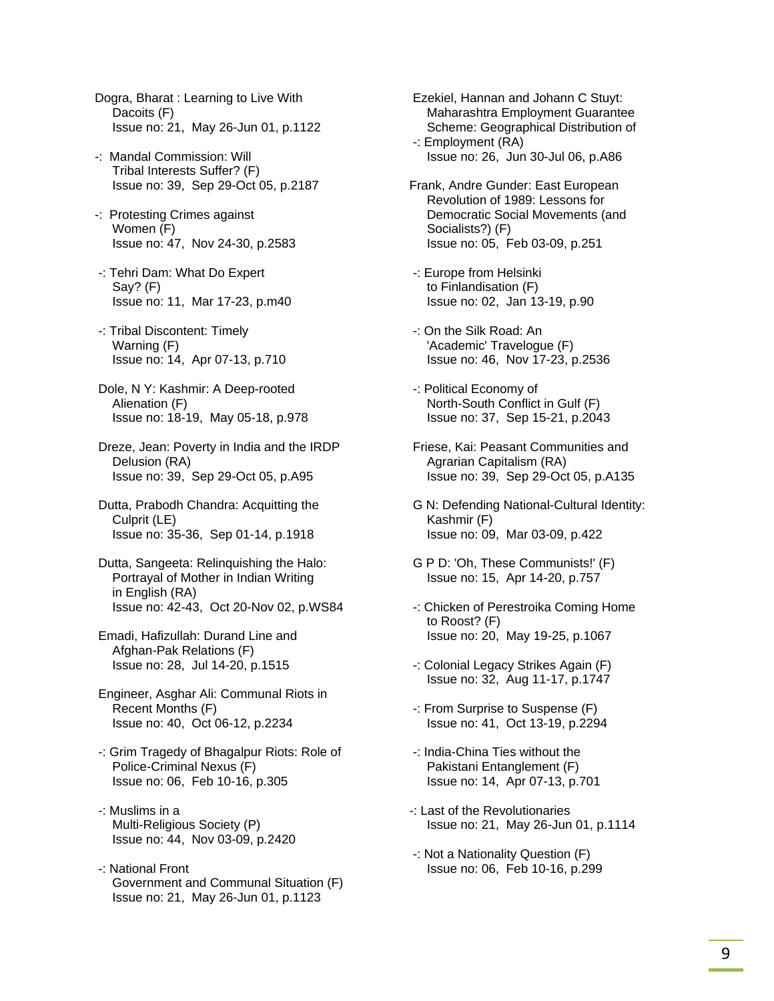Dogra, Bharat : Learning to Live With Dacoits (F) Issue no: 21, May 26-Jun 01, p.1122

- -: Mandal Commission: Will Tribal Interests Suffer? (F) Issue no: 39, Sep 29-Oct 05, p.2187
- -: Protesting Crimes against Women (F) Issue no: 47, Nov 24-30, p.2583
- -: Tehri Dam: What Do Expert Say? (F) Issue no: 11, Mar 17-23, p.m40
- -: Tribal Discontent: Timely Warning (F) Issue no: 14, Apr 07-13, p.710
- Dole, N Y: Kashmir: A Deep-rooted Alienation (F) Issue no: 18-19, May 05-18, p.978
- Dreze, Jean: Poverty in India and the IRDP Delusion (RA) Issue no: 39, Sep 29-Oct 05, p.A95
- Dutta, Prabodh Chandra: Acquitting the Culprit (LE) Issue no: 35-36, Sep 01-14, p.1918
- Dutta, Sangeeta: Relinquishing the Halo: Portrayal of Mother in Indian Writing in English (RA) Issue no: 42-43, Oct 20-Nov 02, p.WS84
- Emadi, Hafizullah: Durand Line and Afghan-Pak Relations (F) Issue no: 28, Jul 14-20, p.1515
- Engineer, Asghar Ali: Communal Riots in Recent Months (F) Issue no: 40, Oct 06-12, p.2234
- -: Grim Tragedy of Bhagalpur Riots: Role of Police-Criminal Nexus (F) Issue no: 06, Feb 10-16, p.305
- -: Muslims in a Multi-Religious Society (P) Issue no: 44, Nov 03-09, p.2420
- -: National Front Government and Communal Situation (F) Issue no: 21, May 26-Jun 01, p.1123

 Ezekiel, Hannan and Johann C Stuyt: Maharashtra Employment Guarantee Scheme: Geographical Distribution of -: Employment (RA) Issue no: 26, Jun 30-Jul 06, p.A86

- Frank, Andre Gunder: East European Revolution of 1989: Lessons for Democratic Social Movements (and Socialists?) (F) Issue no: 05, Feb 03-09, p.251
- -: Europe from Helsinki to Finlandisation (F) Issue no: 02, Jan 13-19, p.90
- -: On the Silk Road: An 'Academic' Travelogue (F) Issue no: 46, Nov 17-23, p.2536
- -: Political Economy of North-South Conflict in Gulf (F) Issue no: 37, Sep 15-21, p.2043
- Friese, Kai: Peasant Communities and Agrarian Capitalism (RA) Issue no: 39, Sep 29-Oct 05, p.A135
- G N: Defending National-Cultural Identity: Kashmir (F) Issue no: 09, Mar 03-09, p.422
- G P D: 'Oh, These Communists!' (F) Issue no: 15, Apr 14-20, p.757
- -: Chicken of Perestroika Coming Home to Roost? (F) Issue no: 20, May 19-25, p.1067
- -: Colonial Legacy Strikes Again (F) Issue no: 32, Aug 11-17, p.1747
- -: From Surprise to Suspense (F) Issue no: 41, Oct 13-19, p.2294
- -: India-China Ties without the Pakistani Entanglement (F) Issue no: 14, Apr 07-13, p.701
- -: Last of the Revolutionaries Issue no: 21, May 26-Jun 01, p.1114
- -: Not a Nationality Question (F) Issue no: 06, Feb 10-16, p.299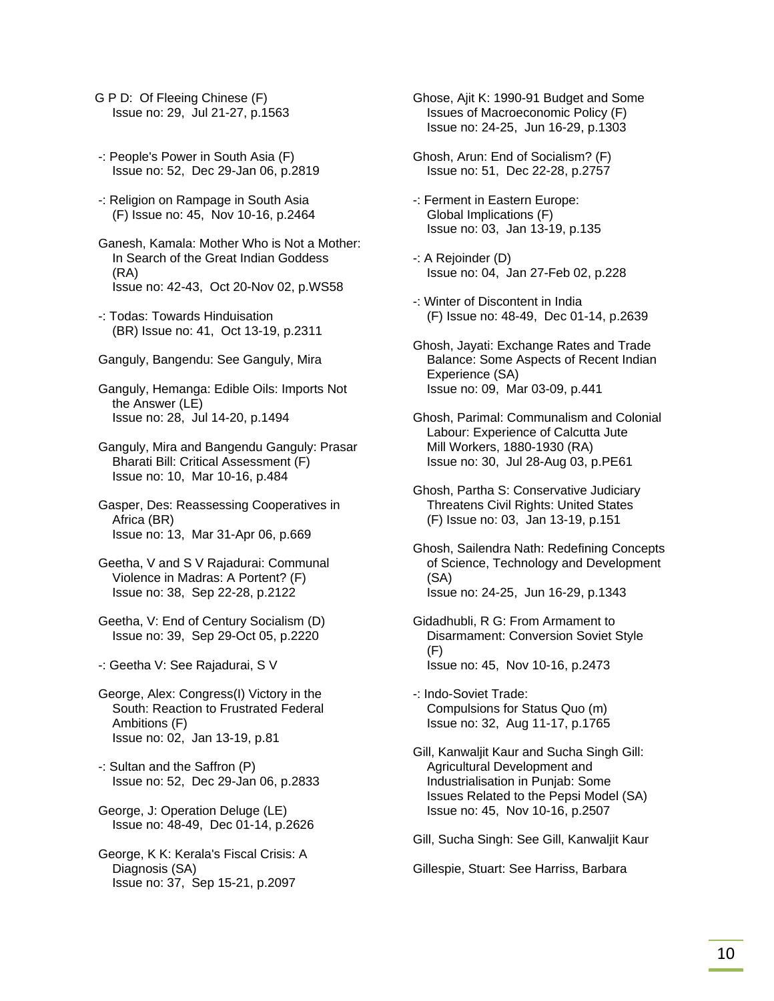- G P D: Of Fleeing Chinese (F) Issue no: 29, Jul 21-27, p.1563
- -: People's Power in South Asia (F) Issue no: 52, Dec 29-Jan 06, p.2819
- -: Religion on Rampage in South Asia (F) Issue no: 45, Nov 10-16, p.2464
- Ganesh, Kamala: Mother Who is Not a Mother: In Search of the Great Indian Goddess (RA) Issue no: 42-43, Oct 20-Nov 02, p.WS58
- -: Todas: Towards Hinduisation (BR) Issue no: 41, Oct 13-19, p.2311
- Ganguly, Bangendu: See Ganguly, Mira
- Ganguly, Hemanga: Edible Oils: Imports Not the Answer (LE) Issue no: 28, Jul 14-20, p.1494
- Ganguly, Mira and Bangendu Ganguly: Prasar Bharati Bill: Critical Assessment (F) Issue no: 10, Mar 10-16, p.484
- Gasper, Des: Reassessing Cooperatives in Africa (BR) Issue no: 13, Mar 31-Apr 06, p.669
- Geetha, V and S V Rajadurai: Communal Violence in Madras: A Portent? (F) Issue no: 38, Sep 22-28, p.2122
- Geetha, V: End of Century Socialism (D) Issue no: 39, Sep 29-Oct 05, p.2220
- -: Geetha V: See Rajadurai, S V
- George, Alex: Congress(I) Victory in the South: Reaction to Frustrated Federal Ambitions (F) Issue no: 02, Jan 13-19, p.81
- -: Sultan and the Saffron (P) Issue no: 52, Dec 29-Jan 06, p.2833
- George, J: Operation Deluge (LE) Issue no: 48-49, Dec 01-14, p.2626
- George, K K: Kerala's Fiscal Crisis: A Diagnosis (SA) Issue no: 37, Sep 15-21, p.2097
- Ghose, Ajit K: 1990-91 Budget and Some Issues of Macroeconomic Policy (F) Issue no: 24-25, Jun 16-29, p.1303
- Ghosh, Arun: End of Socialism? (F) Issue no: 51, Dec 22-28, p.2757
- -: Ferment in Eastern Europe: Global Implications (F) Issue no: 03, Jan 13-19, p.135
- -: A Rejoinder (D) Issue no: 04, Jan 27-Feb 02, p.228
- -: Winter of Discontent in India (F) Issue no: 48-49, Dec 01-14, p.2639
- Ghosh, Jayati: Exchange Rates and Trade Balance: Some Aspects of Recent Indian Experience (SA) Issue no: 09, Mar 03-09, p.441
- Ghosh, Parimal: Communalism and Colonial Labour: Experience of Calcutta Jute Mill Workers, 1880-1930 (RA) Issue no: 30, Jul 28-Aug 03, p.PE61
- Ghosh, Partha S: Conservative Judiciary Threatens Civil Rights: United States (F) Issue no: 03, Jan 13-19, p.151
- Ghosh, Sailendra Nath: Redefining Concepts of Science, Technology and Development (SA) Issue no: 24-25, Jun 16-29, p.1343
- Gidadhubli, R G: From Armament to Disarmament: Conversion Soviet Style (F) Issue no: 45, Nov 10-16, p.2473
- -: Indo-Soviet Trade: Compulsions for Status Quo (m) Issue no: 32, Aug 11-17, p.1765
- Gill, Kanwaljit Kaur and Sucha Singh Gill: Agricultural Development and Industrialisation in Punjab: Some Issues Related to the Pepsi Model (SA) Issue no: 45, Nov 10-16, p.2507

Gill, Sucha Singh: See Gill, Kanwaljit Kaur

Gillespie, Stuart: See Harriss, Barbara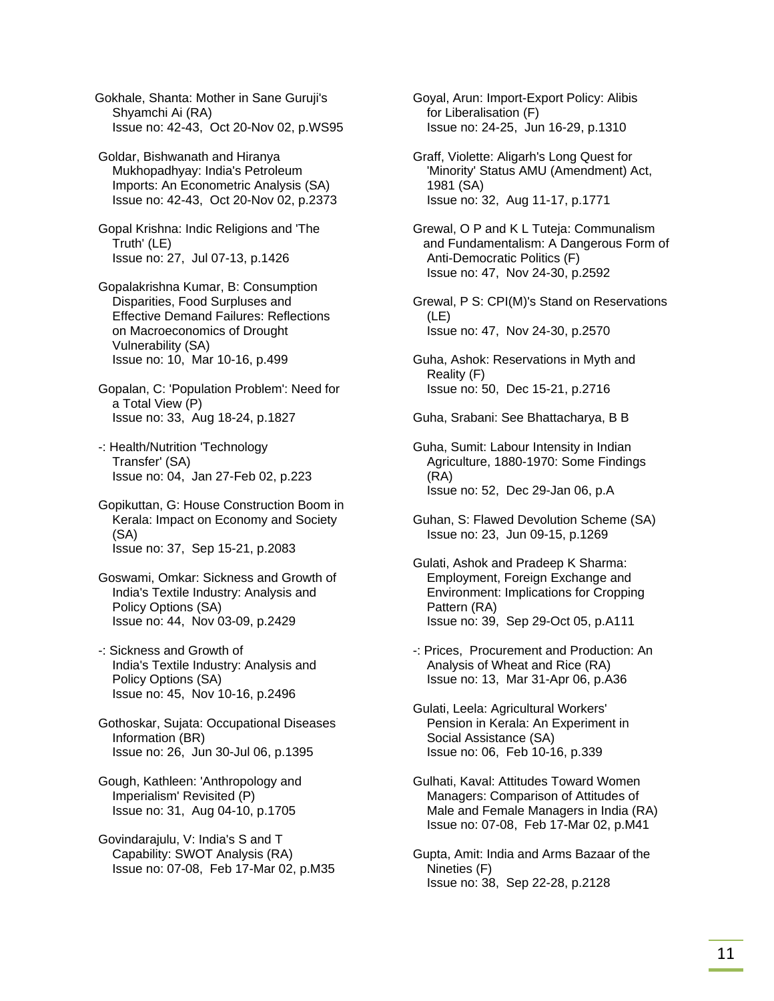Gokhale, Shanta: Mother in Sane Guruji's Shyamchi Ai (RA) Issue no: 42-43, Oct 20-Nov 02, p.WS95

 Goldar, Bishwanath and Hiranya Mukhopadhyay: India's Petroleum Imports: An Econometric Analysis (SA) Issue no: 42-43, Oct 20-Nov 02, p.2373

 Gopal Krishna: Indic Religions and 'The Truth' (LE) Issue no: 27, Jul 07-13, p.1426

 Gopalakrishna Kumar, B: Consumption Disparities, Food Surpluses and Effective Demand Failures: Reflections on Macroeconomics of Drought Vulnerability (SA) Issue no: 10, Mar 10-16, p.499

 Gopalan, C: 'Population Problem': Need for a Total View (P) Issue no: 33, Aug 18-24, p.1827

 -: Health/Nutrition 'Technology Transfer' (SA) Issue no: 04, Jan 27-Feb 02, p.223

 Gopikuttan, G: House Construction Boom in Kerala: Impact on Economy and Society (SA) Issue no: 37, Sep 15-21, p.2083

 Goswami, Omkar: Sickness and Growth of India's Textile Industry: Analysis and Policy Options (SA) Issue no: 44, Nov 03-09, p.2429

 -: Sickness and Growth of India's Textile Industry: Analysis and Policy Options (SA) Issue no: 45, Nov 10-16, p.2496

 Gothoskar, Sujata: Occupational Diseases Information (BR) Issue no: 26, Jun 30-Jul 06, p.1395

 Gough, Kathleen: 'Anthropology and Imperialism' Revisited (P) Issue no: 31, Aug 04-10, p.1705

 Govindarajulu, V: India's S and T Capability: SWOT Analysis (RA) Issue no: 07-08, Feb 17-Mar 02, p.M35  Goyal, Arun: Import-Export Policy: Alibis for Liberalisation (F) Issue no: 24-25, Jun 16-29, p.1310

 Graff, Violette: Aligarh's Long Quest for 'Minority' Status AMU (Amendment) Act, 1981 (SA) Issue no: 32, Aug 11-17, p.1771

 Grewal, O P and K L Tuteja: Communalism and Fundamentalism: A Dangerous Form of Anti-Democratic Politics (F) Issue no: 47, Nov 24-30, p.2592

 Grewal, P S: CPI(M)'s Stand on Reservations (LE) Issue no: 47, Nov 24-30, p.2570

 Guha, Ashok: Reservations in Myth and Reality (F) Issue no: 50, Dec 15-21, p.2716

Guha, Srabani: See Bhattacharya, B B

 Guha, Sumit: Labour Intensity in Indian Agriculture, 1880-1970: Some Findings (RA) Issue no: 52, Dec 29-Jan 06, p.A

- Guhan, S: Flawed Devolution Scheme (SA) Issue no: 23, Jun 09-15, p.1269
- Gulati, Ashok and Pradeep K Sharma: Employment, Foreign Exchange and Environment: Implications for Cropping Pattern (RA) Issue no: 39, Sep 29-Oct 05, p.A111

 -: Prices, Procurement and Production: An Analysis of Wheat and Rice (RA) Issue no: 13, Mar 31-Apr 06, p.A36

 Gulati, Leela: Agricultural Workers' Pension in Kerala: An Experiment in Social Assistance (SA) Issue no: 06, Feb 10-16, p.339

 Gulhati, Kaval: Attitudes Toward Women Managers: Comparison of Attitudes of Male and Female Managers in India (RA) Issue no: 07-08, Feb 17-Mar 02, p.M41

 Gupta, Amit: India and Arms Bazaar of the Nineties (F) Issue no: 38, Sep 22-28, p.2128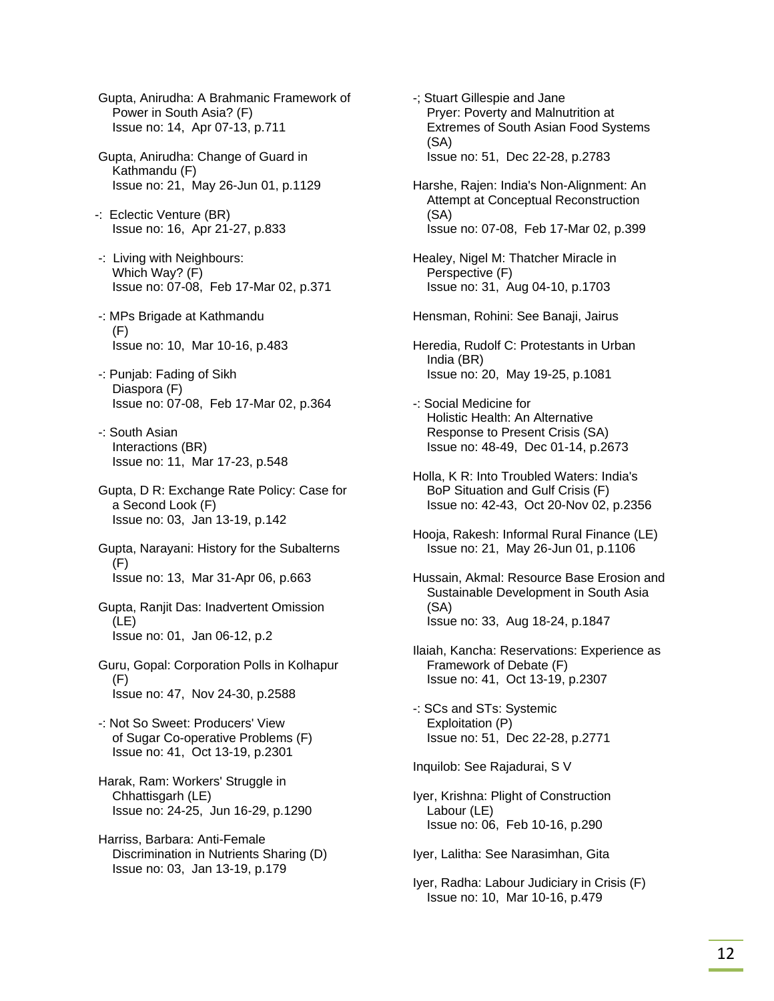- Gupta, Anirudha: A Brahmanic Framework of Power in South Asia? (F) Issue no: 14, Apr 07-13, p.711
- Gupta, Anirudha: Change of Guard in Kathmandu (F) Issue no: 21, May 26-Jun 01, p.1129
- -: Eclectic Venture (BR) Issue no: 16, Apr 21-27, p.833
- -: Living with Neighbours: Which Way? (F) Issue no: 07-08, Feb 17-Mar 02, p.371
- -: MPs Brigade at Kathmandu (F) Issue no: 10, Mar 10-16, p.483
- -: Punjab: Fading of Sikh Diaspora (F) Issue no: 07-08, Feb 17-Mar 02, p.364
- -: South Asian Interactions (BR) Issue no: 11, Mar 17-23, p.548
- Gupta, D R: Exchange Rate Policy: Case for a Second Look (F) Issue no: 03, Jan 13-19, p.142
- Gupta, Narayani: History for the Subalterns (F) Issue no: 13, Mar 31-Apr 06, p.663
- Gupta, Ranjit Das: Inadvertent Omission (LE) Issue no: 01, Jan 06-12, p.2
- Guru, Gopal: Corporation Polls in Kolhapur (F) Issue no: 47, Nov 24-30, p.2588
- -: Not So Sweet: Producers' View of Sugar Co-operative Problems (F) Issue no: 41, Oct 13-19, p.2301
- Harak, Ram: Workers' Struggle in Chhattisgarh (LE) Issue no: 24-25, Jun 16-29, p.1290
- Harriss, Barbara: Anti-Female Discrimination in Nutrients Sharing (D) Issue no: 03, Jan 13-19, p.179
- -; Stuart Gillespie and Jane Pryer: Poverty and Malnutrition at Extremes of South Asian Food Systems (SA) Issue no: 51, Dec 22-28, p.2783
- Harshe, Rajen: India's Non-Alignment: An Attempt at Conceptual Reconstruction (SA) Issue no: 07-08, Feb 17-Mar 02, p.399
- Healey, Nigel M: Thatcher Miracle in Perspective (F) Issue no: 31, Aug 04-10, p.1703
- Hensman, Rohini: See Banaji, Jairus
- Heredia, Rudolf C: Protestants in Urban India (BR) Issue no: 20, May 19-25, p.1081
- -: Social Medicine for Holistic Health: An Alternative Response to Present Crisis (SA) Issue no: 48-49, Dec 01-14, p.2673
- Holla, K R: Into Troubled Waters: India's BoP Situation and Gulf Crisis (F) Issue no: 42-43, Oct 20-Nov 02, p.2356
- Hooja, Rakesh: Informal Rural Finance (LE) Issue no: 21, May 26-Jun 01, p.1106
- Hussain, Akmal: Resource Base Erosion and Sustainable Development in South Asia (SA) Issue no: 33, Aug 18-24, p.1847
- Ilaiah, Kancha: Reservations: Experience as Framework of Debate (F) Issue no: 41, Oct 13-19, p.2307
- -: SCs and STs: Systemic Exploitation (P) Issue no: 51, Dec 22-28, p.2771
- Inquilob: See Rajadurai, S V
- Iyer, Krishna: Plight of Construction Labour (LE) Issue no: 06, Feb 10-16, p.290
- Iyer, Lalitha: See Narasimhan, Gita
- Iyer, Radha: Labour Judiciary in Crisis (F) Issue no: 10, Mar 10-16, p.479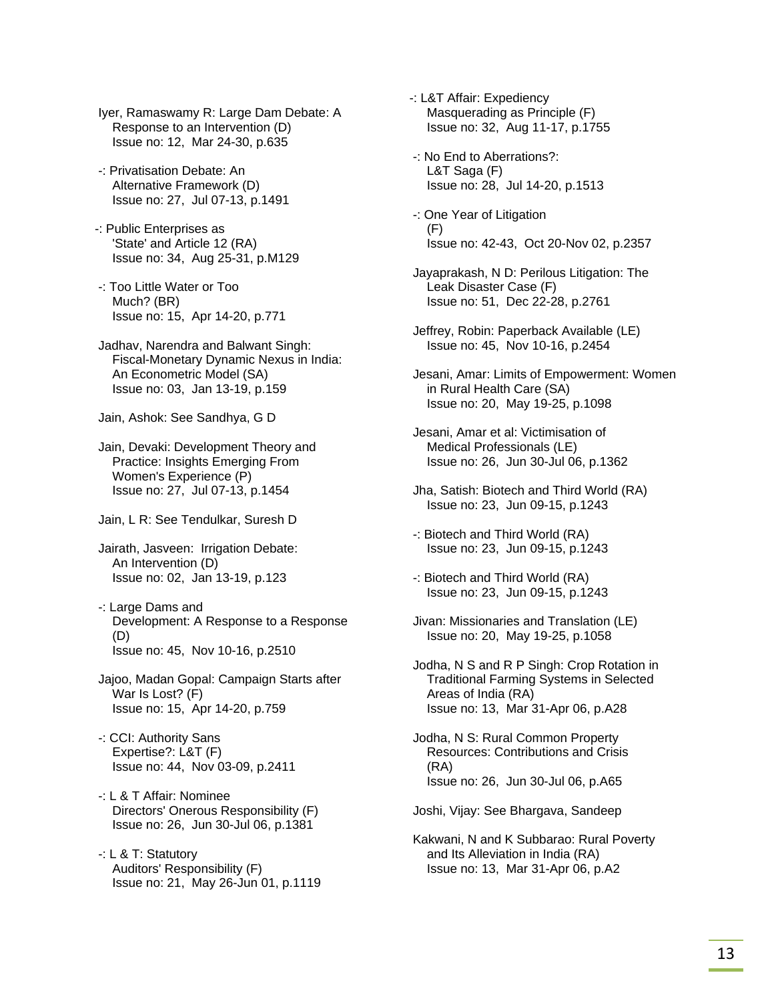Iyer, Ramaswamy R: Large Dam Debate: A Response to an Intervention (D) Issue no: 12, Mar 24-30, p.635

- -: Privatisation Debate: An Alternative Framework (D) Issue no: 27, Jul 07-13, p.1491
- -: Public Enterprises as 'State' and Article 12 (RA) Issue no: 34, Aug 25-31, p.M129
- -: Too Little Water or Too Much? (BR) Issue no: 15, Apr 14-20, p.771
- Jadhav, Narendra and Balwant Singh: Fiscal-Monetary Dynamic Nexus in India: An Econometric Model (SA) Issue no: 03, Jan 13-19, p.159

Jain, Ashok: See Sandhya, G D

- Jain, Devaki: Development Theory and Practice: Insights Emerging From Women's Experience (P) Issue no: 27, Jul 07-13, p.1454
- Jain, L R: See Tendulkar, Suresh D
- Jairath, Jasveen: Irrigation Debate: An Intervention (D) Issue no: 02, Jan 13-19, p.123
- -: Large Dams and Development: A Response to a Response (D) Issue no: 45, Nov 10-16, p.2510
- Jajoo, Madan Gopal: Campaign Starts after War Is Lost? (F) Issue no: 15, Apr 14-20, p.759
- -: CCI: Authority Sans Expertise?: L&T (F) Issue no: 44, Nov 03-09, p.2411
- -: L & T Affair: Nominee Directors' Onerous Responsibility (F) Issue no: 26, Jun 30-Jul 06, p.1381
- -: L & T: Statutory Auditors' Responsibility (F) Issue no: 21, May 26-Jun 01, p.1119

-: L&T Affair: Expediency Masquerading as Principle (F) Issue no: 32, Aug 11-17, p.1755

- -: No End to Aberrations?: L&T Saga (F) Issue no: 28, Jul 14-20, p.1513
- -: One Year of Litigation (F) Issue no: 42-43, Oct 20-Nov 02, p.2357
- Jayaprakash, N D: Perilous Litigation: The Leak Disaster Case (F) Issue no: 51, Dec 22-28, p.2761
- Jeffrey, Robin: Paperback Available (LE) Issue no: 45, Nov 10-16, p.2454
- Jesani, Amar: Limits of Empowerment: Women in Rural Health Care (SA) Issue no: 20, May 19-25, p.1098
- Jesani, Amar et al: Victimisation of Medical Professionals (LE) Issue no: 26, Jun 30-Jul 06, p.1362
- Jha, Satish: Biotech and Third World (RA) Issue no: 23, Jun 09-15, p.1243
- -: Biotech and Third World (RA) Issue no: 23, Jun 09-15, p.1243
- -: Biotech and Third World (RA) Issue no: 23, Jun 09-15, p.1243
- Jivan: Missionaries and Translation (LE) Issue no: 20, May 19-25, p.1058
- Jodha, N S and R P Singh: Crop Rotation in Traditional Farming Systems in Selected Areas of India (RA) Issue no: 13, Mar 31-Apr 06, p.A28
- Jodha, N S: Rural Common Property Resources: Contributions and Crisis (RA) Issue no: 26, Jun 30-Jul 06, p.A65

Joshi, Vijay: See Bhargava, Sandeep

 Kakwani, N and K Subbarao: Rural Poverty and Its Alleviation in India (RA) Issue no: 13, Mar 31-Apr 06, p.A2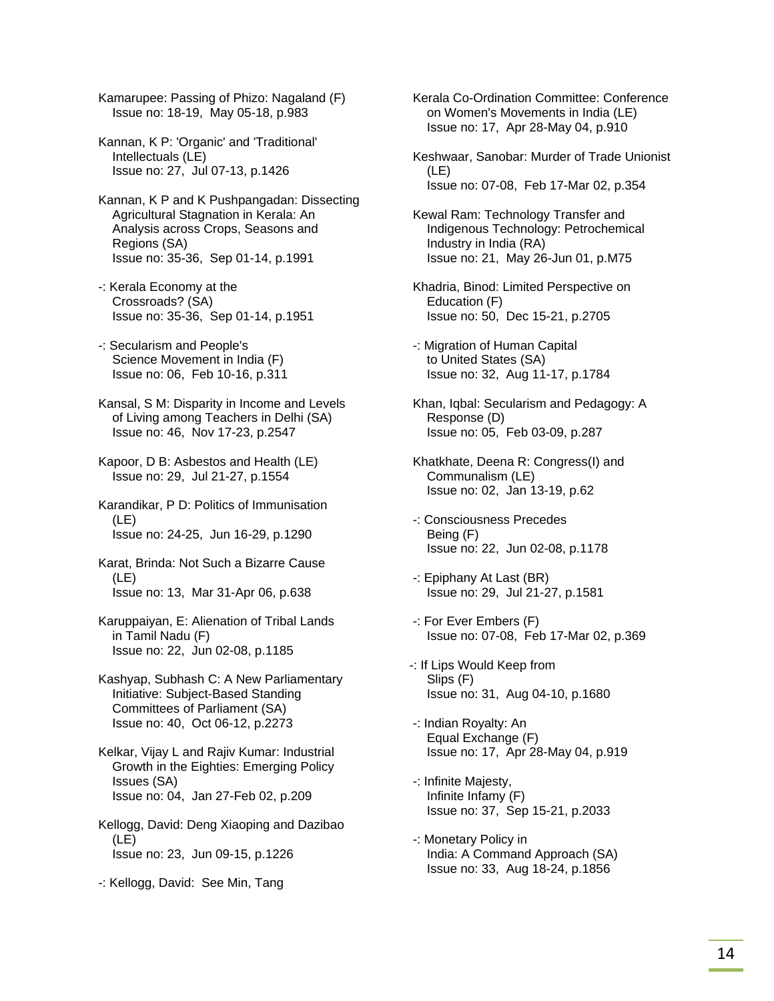Kamarupee: Passing of Phizo: Nagaland (F) Issue no: 18-19, May 05-18, p.983

- Kannan, K P: 'Organic' and 'Traditional' Intellectuals (LE) Issue no: 27, Jul 07-13, p.1426
- Kannan, K P and K Pushpangadan: Dissecting Agricultural Stagnation in Kerala: An Analysis across Crops, Seasons and Regions (SA) Issue no: 35-36, Sep 01-14, p.1991
- -: Kerala Economy at the Crossroads? (SA) Issue no: 35-36, Sep 01-14, p.1951
- -: Secularism and People's Science Movement in India (F) Issue no: 06, Feb 10-16, p.311
- Kansal, S M: Disparity in Income and Levels of Living among Teachers in Delhi (SA) Issue no: 46, Nov 17-23, p.2547
- Kapoor, D B: Asbestos and Health (LE) Issue no: 29, Jul 21-27, p.1554
- Karandikar, P D: Politics of Immunisation (LE) Issue no: 24-25, Jun 16-29, p.1290
- Karat, Brinda: Not Such a Bizarre Cause (LE) Issue no: 13, Mar 31-Apr 06, p.638
- Karuppaiyan, E: Alienation of Tribal Lands in Tamil Nadu (F) Issue no: 22, Jun 02-08, p.1185
- Kashyap, Subhash C: A New Parliamentary Initiative: Subject-Based Standing Committees of Parliament (SA) Issue no: 40, Oct 06-12, p.2273
- Kelkar, Vijay L and Rajiv Kumar: Industrial Growth in the Eighties: Emerging Policy Issues (SA) Issue no: 04, Jan 27-Feb 02, p.209
- Kellogg, David: Deng Xiaoping and Dazibao (LE) Issue no: 23, Jun 09-15, p.1226
- -: Kellogg, David: See Min, Tang

 Kerala Co-Ordination Committee: Conference on Women's Movements in India (LE) Issue no: 17, Apr 28-May 04, p.910

- Keshwaar, Sanobar: Murder of Trade Unionist (LE) Issue no: 07-08, Feb 17-Mar 02, p.354
- Kewal Ram: Technology Transfer and Indigenous Technology: Petrochemical Industry in India (RA) Issue no: 21, May 26-Jun 01, p.M75
- Khadria, Binod: Limited Perspective on Education (F) Issue no: 50, Dec 15-21, p.2705
- -: Migration of Human Capital to United States (SA) Issue no: 32, Aug 11-17, p.1784
- Khan, Iqbal: Secularism and Pedagogy: A Response (D) Issue no: 05, Feb 03-09, p.287
- Khatkhate, Deena R: Congress(I) and Communalism (LE) Issue no: 02, Jan 13-19, p.62
- -: Consciousness Precedes Being (F) Issue no: 22, Jun 02-08, p.1178
- -: Epiphany At Last (BR) Issue no: 29, Jul 21-27, p.1581
- -: For Ever Embers (F) Issue no: 07-08, Feb 17-Mar 02, p.369
- -: If Lips Would Keep from Slips (F) Issue no: 31, Aug 04-10, p.1680
- -: Indian Royalty: An Equal Exchange (F) Issue no: 17, Apr 28-May 04, p.919
- -: Infinite Majesty, Infinite Infamy (F) Issue no: 37, Sep 15-21, p.2033
- -: Monetary Policy in India: A Command Approach (SA) Issue no: 33, Aug 18-24, p.1856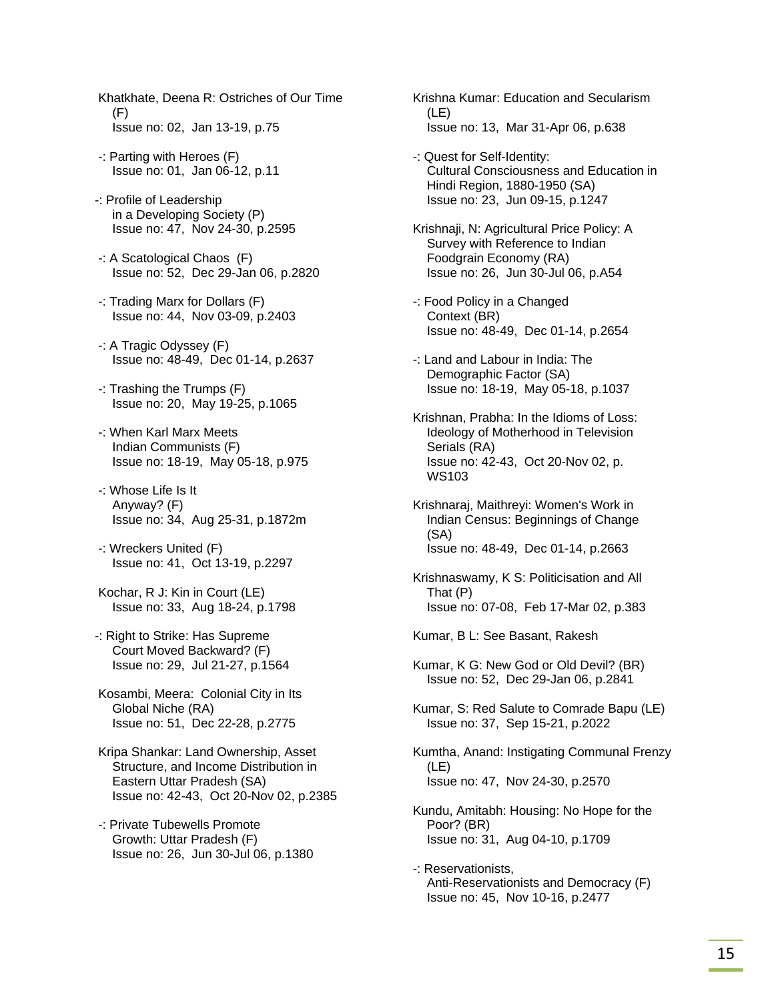- Khatkhate, Deena R: Ostriches of Our Time (F) Issue no: 02, Jan 13-19, p.75
- -: Parting with Heroes (F) Issue no: 01, Jan 06-12, p.11
- -: Profile of Leadership in a Developing Society (P) Issue no: 47, Nov 24-30, p.2595
- -: A Scatological Chaos (F) Issue no: 52, Dec 29-Jan 06, p.2820
- -: Trading Marx for Dollars (F) Issue no: 44, Nov 03-09, p.2403
- -: A Tragic Odyssey (F) Issue no: 48-49, Dec 01-14, p.2637
- -: Trashing the Trumps (F) Issue no: 20, May 19-25, p.1065
- -: When Karl Marx Meets Indian Communists (F) Issue no: 18-19, May 05-18, p.975
- -: Whose Life Is It Anyway? (F) Issue no: 34, Aug 25-31, p.1872m
- -: Wreckers United (F) Issue no: 41, Oct 13-19, p.2297
- Kochar, R J: Kin in Court (LE) Issue no: 33, Aug 18-24, p.1798
- -: Right to Strike: Has Supreme Court Moved Backward? (F) Issue no: 29, Jul 21-27, p.1564
- Kosambi, Meera: Colonial City in Its Global Niche (RA) Issue no: 51, Dec 22-28, p.2775
- Kripa Shankar: Land Ownership, Asset Structure, and Income Distribution in Eastern Uttar Pradesh (SA) Issue no: 42-43, Oct 20-Nov 02, p.2385
- -: Private Tubewells Promote Growth: Uttar Pradesh (F) Issue no: 26, Jun 30-Jul 06, p.1380

 Krishna Kumar: Education and Secularism (LE) Issue no: 13, Mar 31-Apr 06, p.638

- -: Quest for Self-Identity: Cultural Consciousness and Education in Hindi Region, 1880-1950 (SA) Issue no: 23, Jun 09-15, p.1247
- Krishnaji, N: Agricultural Price Policy: A Survey with Reference to Indian Foodgrain Economy (RA) Issue no: 26, Jun 30-Jul 06, p.A54
- -: Food Policy in a Changed Context (BR) Issue no: 48-49, Dec 01-14, p.2654
- -: Land and Labour in India: The Demographic Factor (SA) Issue no: 18-19, May 05-18, p.1037
- Krishnan, Prabha: In the Idioms of Loss: Ideology of Motherhood in Television Serials (RA) Issue no: 42-43, Oct 20-Nov 02, p. WS103
- Krishnaraj, Maithreyi: Women's Work in Indian Census: Beginnings of Change (SA) Issue no: 48-49, Dec 01-14, p.2663
- Krishnaswamy, K S: Politicisation and All That (P) Issue no: 07-08, Feb 17-Mar 02, p.383
- Kumar, B L: See Basant, Rakesh
- Kumar, K G: New God or Old Devil? (BR) Issue no: 52, Dec 29-Jan 06, p.2841
- Kumar, S: Red Salute to Comrade Bapu (LE) Issue no: 37, Sep 15-21, p.2022
- Kumtha, Anand: Instigating Communal Frenzy (LE) Issue no: 47, Nov 24-30, p.2570
- Kundu, Amitabh: Housing: No Hope for the Poor? (BR) Issue no: 31, Aug 04-10, p.1709
- -: Reservationists, Anti-Reservationists and Democracy (F) Issue no: 45, Nov 10-16, p.2477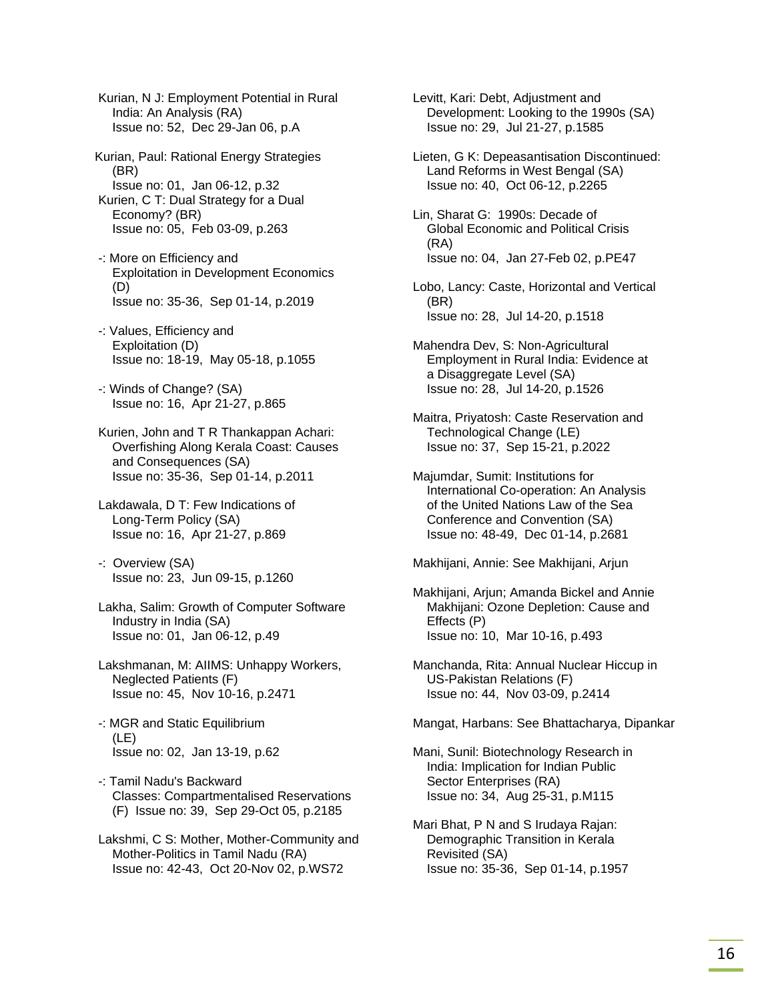Kurian, N J: Employment Potential in Rural India: An Analysis (RA) Issue no: 52, Dec 29-Jan 06, p.A

Kurian, Paul: Rational Energy Strategies (BR) Issue no: 01, Jan 06-12, p.32 Kurien, C T: Dual Strategy for a Dual Economy? (BR) Issue no: 05, Feb 03-09, p.263

 -: More on Efficiency and Exploitation in Development Economics (D) Issue no: 35-36, Sep 01-14, p.2019

 -: Values, Efficiency and Exploitation (D) Issue no: 18-19, May 05-18, p.1055

 -: Winds of Change? (SA) Issue no: 16, Apr 21-27, p.865

 Kurien, John and T R Thankappan Achari: Overfishing Along Kerala Coast: Causes and Consequences (SA) Issue no: 35-36, Sep 01-14, p.2011

 Lakdawala, D T: Few Indications of Long-Term Policy (SA) Issue no: 16, Apr 21-27, p.869

 -: Overview (SA) Issue no: 23, Jun 09-15, p.1260

 Lakha, Salim: Growth of Computer Software Industry in India (SA) Issue no: 01, Jan 06-12, p.49

 Lakshmanan, M: AIIMS: Unhappy Workers, Neglected Patients (F) Issue no: 45, Nov 10-16, p.2471

 -: MGR and Static Equilibrium (LE) Issue no: 02, Jan 13-19, p.62

 -: Tamil Nadu's Backward Classes: Compartmentalised Reservations (F) Issue no: 39, Sep 29-Oct 05, p.2185

 Lakshmi, C S: Mother, Mother-Community and Mother-Politics in Tamil Nadu (RA) Issue no: 42-43, Oct 20-Nov 02, p.WS72

 Levitt, Kari: Debt, Adjustment and Development: Looking to the 1990s (SA) Issue no: 29, Jul 21-27, p.1585

 Lieten, G K: Depeasantisation Discontinued: Land Reforms in West Bengal (SA) Issue no: 40, Oct 06-12, p.2265

 Lin, Sharat G: 1990s: Decade of Global Economic and Political Crisis (RA) Issue no: 04, Jan 27-Feb 02, p.PE47

 Lobo, Lancy: Caste, Horizontal and Vertical (BR) Issue no: 28, Jul 14-20, p.1518

 Mahendra Dev, S: Non-Agricultural Employment in Rural India: Evidence at a Disaggregate Level (SA) Issue no: 28, Jul 14-20, p.1526

 Maitra, Priyatosh: Caste Reservation and Technological Change (LE) Issue no: 37, Sep 15-21, p.2022

 Majumdar, Sumit: Institutions for International Co-operation: An Analysis of the United Nations Law of the Sea Conference and Convention (SA) Issue no: 48-49, Dec 01-14, p.2681

Makhijani, Annie: See Makhijani, Arjun

 Makhijani, Arjun; Amanda Bickel and Annie Makhijani: Ozone Depletion: Cause and Effects (P) Issue no: 10, Mar 10-16, p.493

 Manchanda, Rita: Annual Nuclear Hiccup in US-Pakistan Relations (F) Issue no: 44, Nov 03-09, p.2414

Mangat, Harbans: See Bhattacharya, Dipankar

 Mani, Sunil: Biotechnology Research in India: Implication for Indian Public Sector Enterprises (RA) Issue no: 34, Aug 25-31, p.M115

 Mari Bhat, P N and S Irudaya Rajan: Demographic Transition in Kerala Revisited (SA) Issue no: 35-36, Sep 01-14, p.1957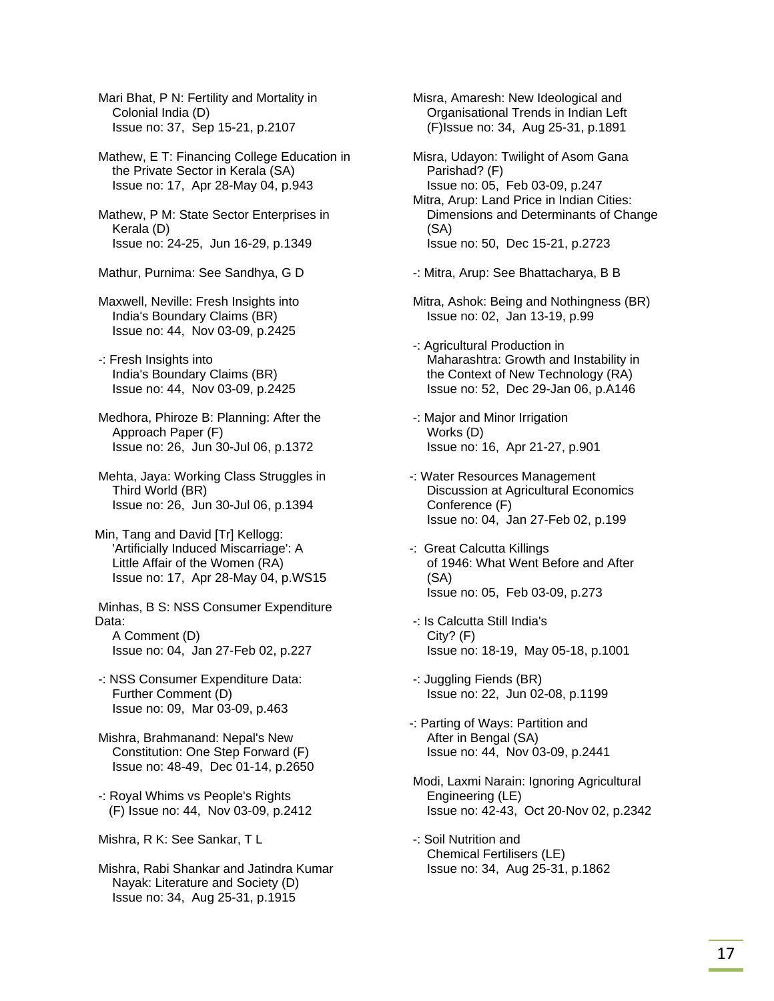Mari Bhat, P N: Fertility and Mortality in Colonial India (D) Issue no: 37, Sep 15-21, p.2107

 Mathew, E T: Financing College Education in the Private Sector in Kerala (SA) Issue no: 17, Apr 28-May 04, p.943

 Mathew, P M: State Sector Enterprises in Kerala (D) Issue no: 24-25, Jun 16-29, p.1349

Mathur, Purnima: See Sandhya, G D

 Maxwell, Neville: Fresh Insights into India's Boundary Claims (BR) Issue no: 44, Nov 03-09, p.2425

 -: Fresh Insights into India's Boundary Claims (BR) Issue no: 44, Nov 03-09, p.2425

 Medhora, Phiroze B: Planning: After the Approach Paper (F) Issue no: 26, Jun 30-Jul 06, p.1372

 Mehta, Jaya: Working Class Struggles in Third World (BR) Issue no: 26, Jun 30-Jul 06, p.1394

Min, Tang and David [Tr] Kellogg: 'Artificially Induced Miscarriage': A Little Affair of the Women (RA) Issue no: 17, Apr 28-May 04, p.WS15

 Minhas, B S: NSS Consumer Expenditure Data: A Comment (D)

Issue no: 04, Jan 27-Feb 02, p.227

 -: NSS Consumer Expenditure Data: Further Comment (D) Issue no: 09, Mar 03-09, p.463

 Mishra, Brahmanand: Nepal's New Constitution: One Step Forward (F) Issue no: 48-49, Dec 01-14, p.2650

 -: Royal Whims vs People's Rights (F) Issue no: 44, Nov 03-09, p.2412

Mishra, R K: See Sankar, T L

 Mishra, Rabi Shankar and Jatindra Kumar Nayak: Literature and Society (D) Issue no: 34, Aug 25-31, p.1915

 Misra, Amaresh: New Ideological and Organisational Trends in Indian Left (F)Issue no: 34, Aug 25-31, p.1891

 Misra, Udayon: Twilight of Asom Gana Parishad? (F) Issue no: 05, Feb 03-09, p.247 Mitra, Arup: Land Price in Indian Cities: Dimensions and Determinants of Change

 (SA) Issue no: 50, Dec 15-21, p.2723

-: Mitra, Arup: See Bhattacharya, B B

 Mitra, Ashok: Being and Nothingness (BR) Issue no: 02, Jan 13-19, p.99

 -: Agricultural Production in Maharashtra: Growth and Instability in the Context of New Technology (RA) Issue no: 52, Dec 29-Jan 06, p.A146

- -: Major and Minor Irrigation Works (D) Issue no: 16, Apr 21-27, p.901
- -: Water Resources Management Discussion at Agricultural Economics Conference (F) Issue no: 04, Jan 27-Feb 02, p.199
- -: Great Calcutta Killings of 1946: What Went Before and After (SA) Issue no: 05, Feb 03-09, p.273
- -: Is Calcutta Still India's City? (F) Issue no: 18-19, May 05-18, p.1001
- -: Juggling Fiends (BR) Issue no: 22, Jun 02-08, p.1199
- -: Parting of Ways: Partition and After in Bengal (SA) Issue no: 44, Nov 03-09, p.2441
- Modi, Laxmi Narain: Ignoring Agricultural Engineering (LE) Issue no: 42-43, Oct 20-Nov 02, p.2342
- -: Soil Nutrition and Chemical Fertilisers (LE) Issue no: 34, Aug 25-31, p.1862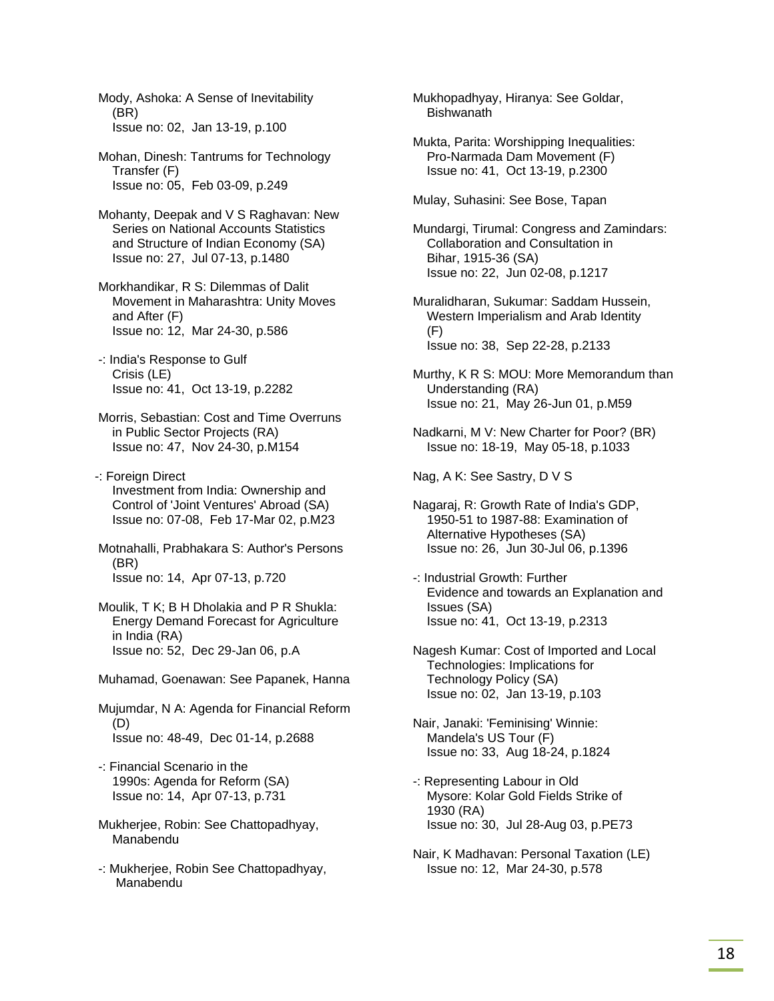Mody, Ashoka: A Sense of Inevitability (BR) Issue no: 02, Jan 13-19, p.100

 Mohan, Dinesh: Tantrums for Technology Transfer (F) Issue no: 05, Feb 03-09, p.249

 Mohanty, Deepak and V S Raghavan: New Series on National Accounts Statistics and Structure of Indian Economy (SA) Issue no: 27, Jul 07-13, p.1480

 Morkhandikar, R S: Dilemmas of Dalit Movement in Maharashtra: Unity Moves and After (F) Issue no: 12, Mar 24-30, p.586

 -: India's Response to Gulf Crisis (LE) Issue no: 41, Oct 13-19, p.2282

 Morris, Sebastian: Cost and Time Overruns in Public Sector Projects (RA) Issue no: 47, Nov 24-30, p.M154

-: Foreign Direct Investment from India: Ownership and Control of 'Joint Ventures' Abroad (SA) Issue no: 07-08, Feb 17-Mar 02, p.M23

 Motnahalli, Prabhakara S: Author's Persons (BR) Issue no: 14, Apr 07-13, p.720

- Moulik, T K; B H Dholakia and P R Shukla: Energy Demand Forecast for Agriculture in India (RA) Issue no: 52, Dec 29-Jan 06, p.A
- Muhamad, Goenawan: See Papanek, Hanna

 Mujumdar, N A: Agenda for Financial Reform (D) Issue no: 48-49, Dec 01-14, p.2688

- -: Financial Scenario in the 1990s: Agenda for Reform (SA) Issue no: 14, Apr 07-13, p.731
- Mukherjee, Robin: See Chattopadhyay, Manabendu
- -: Mukherjee, Robin See Chattopadhyay, Manabendu

 Mukhopadhyay, Hiranya: See Goldar, **Bishwanath** 

 Mukta, Parita: Worshipping Inequalities: Pro-Narmada Dam Movement (F) Issue no: 41, Oct 13-19, p.2300

Mulay, Suhasini: See Bose, Tapan

 Mundargi, Tirumal: Congress and Zamindars: Collaboration and Consultation in Bihar, 1915-36 (SA) Issue no: 22, Jun 02-08, p.1217

 Muralidharan, Sukumar: Saddam Hussein, Western Imperialism and Arab Identity (F) Issue no: 38, Sep 22-28, p.2133

- Murthy, K R S: MOU: More Memorandum than Understanding (RA) Issue no: 21, May 26-Jun 01, p.M59
- Nadkarni, M V: New Charter for Poor? (BR) Issue no: 18-19, May 05-18, p.1033

Nag, A K: See Sastry, D V S

- Nagaraj, R: Growth Rate of India's GDP, 1950-51 to 1987-88: Examination of Alternative Hypotheses (SA) Issue no: 26, Jun 30-Jul 06, p.1396
- -: Industrial Growth: Further Evidence and towards an Explanation and Issues (SA) Issue no: 41, Oct 13-19, p.2313
- Nagesh Kumar: Cost of Imported and Local Technologies: Implications for Technology Policy (SA) Issue no: 02, Jan 13-19, p.103

 Nair, Janaki: 'Feminising' Winnie: Mandela's US Tour (F) Issue no: 33, Aug 18-24, p.1824

- -: Representing Labour in Old Mysore: Kolar Gold Fields Strike of 1930 (RA) Issue no: 30, Jul 28-Aug 03, p.PE73
- Nair, K Madhavan: Personal Taxation (LE) Issue no: 12, Mar 24-30, p.578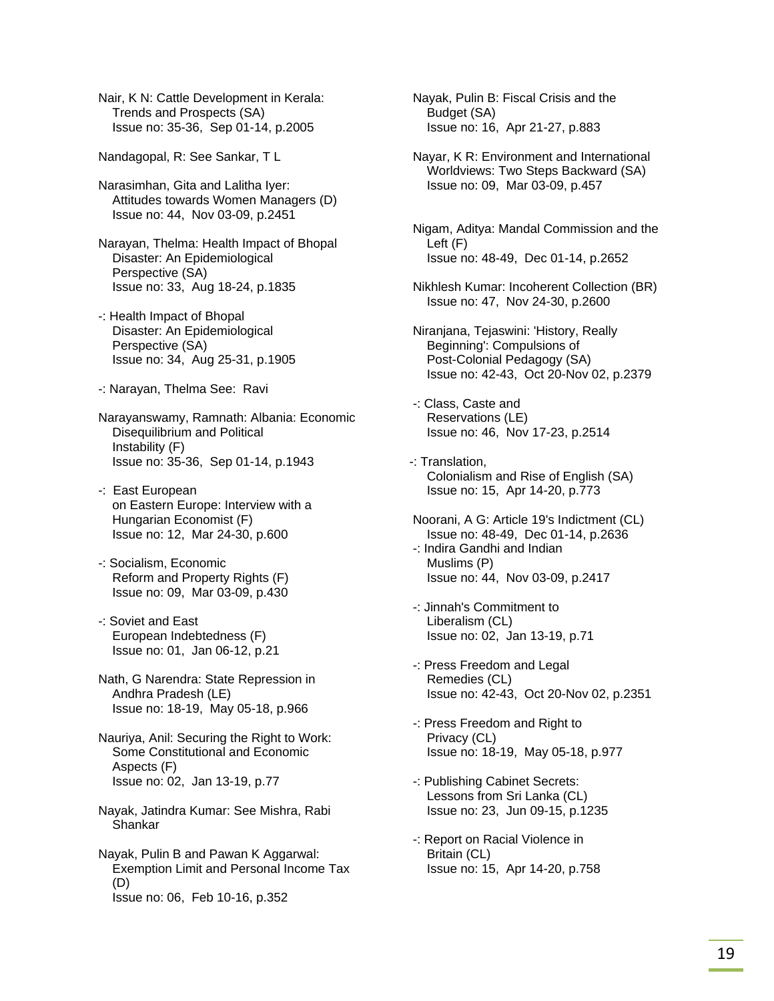Nair, K N: Cattle Development in Kerala: Trends and Prospects (SA) Issue no: 35-36, Sep 01-14, p.2005

Nandagopal, R: See Sankar, T L

 Narasimhan, Gita and Lalitha Iyer: Attitudes towards Women Managers (D) Issue no: 44, Nov 03-09, p.2451

 Narayan, Thelma: Health Impact of Bhopal Disaster: An Epidemiological Perspective (SA) Issue no: 33, Aug 18-24, p.1835

 -: Health Impact of Bhopal Disaster: An Epidemiological Perspective (SA) Issue no: 34, Aug 25-31, p.1905

-: Narayan, Thelma See: Ravi

 Narayanswamy, Ramnath: Albania: Economic Disequilibrium and Political Instability (F) Issue no: 35-36, Sep 01-14, p.1943

 -: East European on Eastern Europe: Interview with a Hungarian Economist (F) Issue no: 12, Mar 24-30, p.600

 -: Socialism, Economic Reform and Property Rights (F) Issue no: 09, Mar 03-09, p.430

 -: Soviet and East European Indebtedness (F) Issue no: 01, Jan 06-12, p.21

 Nath, G Narendra: State Repression in Andhra Pradesh (LE) Issue no: 18-19, May 05-18, p.966

 Nauriya, Anil: Securing the Right to Work: Some Constitutional and Economic Aspects (F) Issue no: 02, Jan 13-19, p.77

 Nayak, Jatindra Kumar: See Mishra, Rabi Shankar

 Nayak, Pulin B and Pawan K Aggarwal: Exemption Limit and Personal Income Tax (D) Issue no: 06, Feb 10-16, p.352

 Nayak, Pulin B: Fiscal Crisis and the Budget (SA) Issue no: 16, Apr 21-27, p.883

 Nayar, K R: Environment and International Worldviews: Two Steps Backward (SA) Issue no: 09, Mar 03-09, p.457

 Nigam, Aditya: Mandal Commission and the Left (F) Issue no: 48-49, Dec 01-14, p.2652

 Nikhlesh Kumar: Incoherent Collection (BR) Issue no: 47, Nov 24-30, p.2600

 Niranjana, Tejaswini: 'History, Really Beginning': Compulsions of Post-Colonial Pedagogy (SA) Issue no: 42-43, Oct 20-Nov 02, p.2379

 -: Class, Caste and Reservations (LE) Issue no: 46, Nov 17-23, p.2514

-: Translation, Colonialism and Rise of English (SA) Issue no: 15, Apr 14-20, p.773

 Noorani, A G: Article 19's Indictment (CL) Issue no: 48-49, Dec 01-14, p.2636

 -: Indira Gandhi and Indian Muslims (P) Issue no: 44, Nov 03-09, p.2417

 -: Jinnah's Commitment to Liberalism (CL) Issue no: 02, Jan 13-19, p.71

 -: Press Freedom and Legal Remedies (CL) Issue no: 42-43, Oct 20-Nov 02, p.2351

 -: Press Freedom and Right to Privacy (CL) Issue no: 18-19, May 05-18, p.977

 -: Publishing Cabinet Secrets: Lessons from Sri Lanka (CL) Issue no: 23, Jun 09-15, p.1235

 -: Report on Racial Violence in Britain (CL) Issue no: 15, Apr 14-20, p.758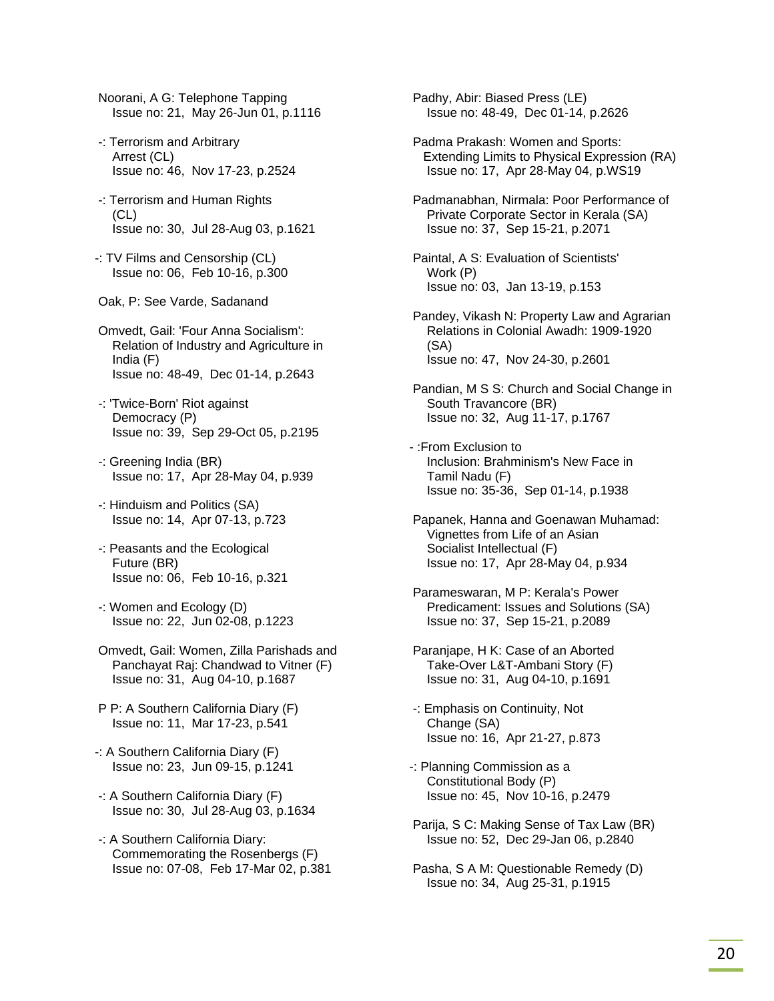- Noorani, A G: Telephone Tapping Issue no: 21, May 26-Jun 01, p.1116
- -: Terrorism and Arbitrary Arrest (CL) Issue no: 46, Nov 17-23, p.2524
- -: Terrorism and Human Rights (CL) Issue no: 30, Jul 28-Aug 03, p.1621
- -: TV Films and Censorship (CL) Issue no: 06, Feb 10-16, p.300
- Oak, P: See Varde, Sadanand
- Omvedt, Gail: 'Four Anna Socialism': Relation of Industry and Agriculture in India (F) Issue no: 48-49, Dec 01-14, p.2643
- -: 'Twice-Born' Riot against Democracy (P) Issue no: 39, Sep 29-Oct 05, p.2195
- -: Greening India (BR) Issue no: 17, Apr 28-May 04, p.939
- -: Hinduism and Politics (SA) Issue no: 14, Apr 07-13, p.723
- -: Peasants and the Ecological Future (BR) Issue no: 06, Feb 10-16, p.321
- -: Women and Ecology (D) Issue no: 22, Jun 02-08, p.1223
- Omvedt, Gail: Women, Zilla Parishads and Panchayat Raj: Chandwad to Vitner (F) Issue no: 31, Aug 04-10, p.1687
- P P: A Southern California Diary (F) Issue no: 11, Mar 17-23, p.541
- -: A Southern California Diary (F) Issue no: 23, Jun 09-15, p.1241
- -: A Southern California Diary (F) Issue no: 30, Jul 28-Aug 03, p.1634
- -: A Southern California Diary: Commemorating the Rosenbergs (F) Issue no: 07-08, Feb 17-Mar 02, p.381

 Padhy, Abir: Biased Press (LE) Issue no: 48-49, Dec 01-14, p.2626

- Padma Prakash: Women and Sports: Extending Limits to Physical Expression (RA) Issue no: 17, Apr 28-May 04, p.WS19
- Padmanabhan, Nirmala: Poor Performance of Private Corporate Sector in Kerala (SA) Issue no: 37, Sep 15-21, p.2071
- Paintal, A S: Evaluation of Scientists' Work (P) Issue no: 03, Jan 13-19, p.153
- Pandey, Vikash N: Property Law and Agrarian Relations in Colonial Awadh: 1909-1920 (SA) Issue no: 47, Nov 24-30, p.2601
- Pandian, M S S: Church and Social Change in South Travancore (BR) Issue no: 32, Aug 11-17, p.1767
- :From Exclusion to Inclusion: Brahminism's New Face in Tamil Nadu (F) Issue no: 35-36, Sep 01-14, p.1938
- Papanek, Hanna and Goenawan Muhamad: Vignettes from Life of an Asian Socialist Intellectual (F) Issue no: 17, Apr 28-May 04, p.934
- Parameswaran, M P: Kerala's Power Predicament: Issues and Solutions (SA) Issue no: 37, Sep 15-21, p.2089
- Paranjape, H K: Case of an Aborted Take-Over L&T-Ambani Story (F) Issue no: 31, Aug 04-10, p.1691
- -: Emphasis on Continuity, Not Change (SA) Issue no: 16, Apr 21-27, p.873
- -: Planning Commission as a Constitutional Body (P) Issue no: 45, Nov 10-16, p.2479
- Parija, S C: Making Sense of Tax Law (BR) Issue no: 52, Dec 29-Jan 06, p.2840
- Pasha, S A M: Questionable Remedy (D) Issue no: 34, Aug 25-31, p.1915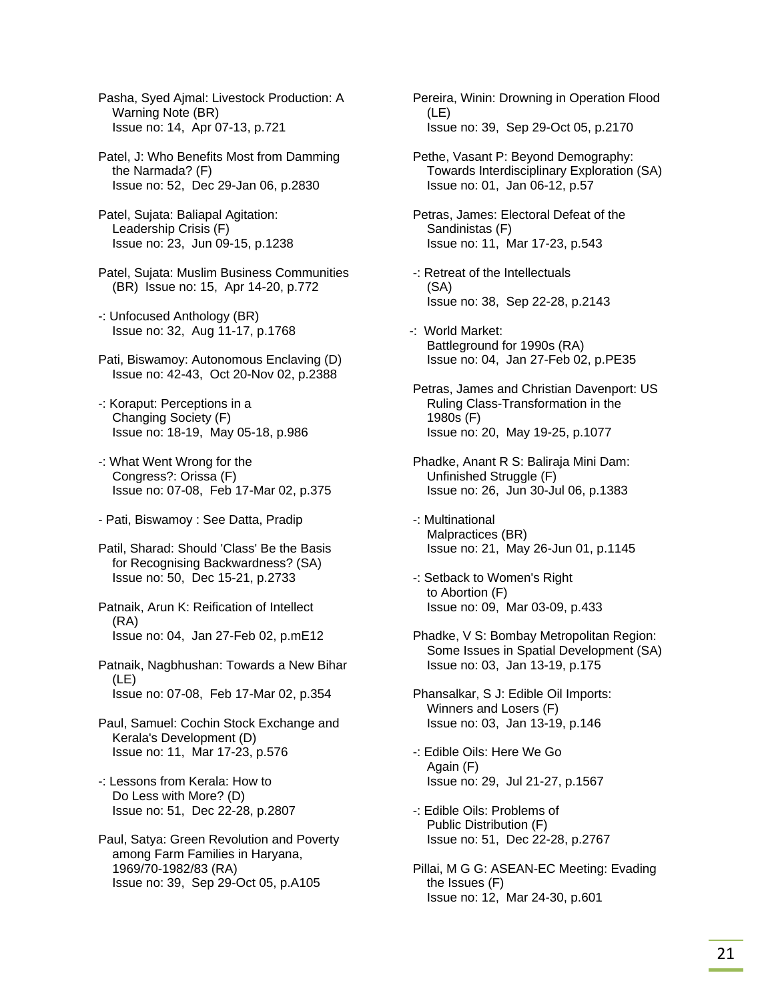Pasha, Syed Ajmal: Livestock Production: A Warning Note (BR) Issue no: 14, Apr 07-13, p.721

 Patel, J: Who Benefits Most from Damming the Narmada? (F) Issue no: 52, Dec 29-Jan 06, p.2830

 Patel, Sujata: Baliapal Agitation: Leadership Crisis (F) Issue no: 23, Jun 09-15, p.1238

 Patel, Sujata: Muslim Business Communities (BR) Issue no: 15, Apr 14-20, p.772

 -: Unfocused Anthology (BR) Issue no: 32, Aug 11-17, p.1768

 Pati, Biswamoy: Autonomous Enclaving (D) Issue no: 42-43, Oct 20-Nov 02, p.2388

 -: Koraput: Perceptions in a Changing Society (F) Issue no: 18-19, May 05-18, p.986

 -: What Went Wrong for the Congress?: Orissa (F) Issue no: 07-08, Feb 17-Mar 02, p.375

- Pati, Biswamoy : See Datta, Pradip

 Patil, Sharad: Should 'Class' Be the Basis for Recognising Backwardness? (SA) Issue no: 50, Dec 15-21, p.2733

 Patnaik, Arun K: Reification of Intellect (RA) Issue no: 04, Jan 27-Feb 02, p.mE12

 Patnaik, Nagbhushan: Towards a New Bihar (LE) Issue no: 07-08, Feb 17-Mar 02, p.354

 Paul, Samuel: Cochin Stock Exchange and Kerala's Development (D) Issue no: 11, Mar 17-23, p.576

 -: Lessons from Kerala: How to Do Less with More? (D) Issue no: 51, Dec 22-28, p.2807

 Paul, Satya: Green Revolution and Poverty among Farm Families in Haryana, 1969/70-1982/83 (RA) Issue no: 39, Sep 29-Oct 05, p.A105

 Pereira, Winin: Drowning in Operation Flood (LE) Issue no: 39, Sep 29-Oct 05, p.2170

 Pethe, Vasant P: Beyond Demography: Towards Interdisciplinary Exploration (SA) Issue no: 01, Jan 06-12, p.57

 Petras, James: Electoral Defeat of the Sandinistas (F) Issue no: 11, Mar 17-23, p.543

- -: Retreat of the Intellectuals (SA) Issue no: 38, Sep 22-28, p.2143
- -: World Market: Battleground for 1990s (RA) Issue no: 04, Jan 27-Feb 02, p.PE35

 Petras, James and Christian Davenport: US Ruling Class-Transformation in the 1980s (F) Issue no: 20, May 19-25, p.1077

 Phadke, Anant R S: Baliraja Mini Dam: Unfinished Struggle (F) Issue no: 26, Jun 30-Jul 06, p.1383

 -: Multinational Malpractices (BR) Issue no: 21, May 26-Jun 01, p.1145

 -: Setback to Women's Right to Abortion (F) Issue no: 09, Mar 03-09, p.433

 Phadke, V S: Bombay Metropolitan Region: Some Issues in Spatial Development (SA) Issue no: 03, Jan 13-19, p.175

 Phansalkar, S J: Edible Oil Imports: Winners and Losers (F) Issue no: 03, Jan 13-19, p.146

 -: Edible Oils: Here We Go Again (F) Issue no: 29, Jul 21-27, p.1567

 -: Edible Oils: Problems of Public Distribution (F) Issue no: 51, Dec 22-28, p.2767

 Pillai, M G G: ASEAN-EC Meeting: Evading the Issues (F) Issue no: 12, Mar 24-30, p.601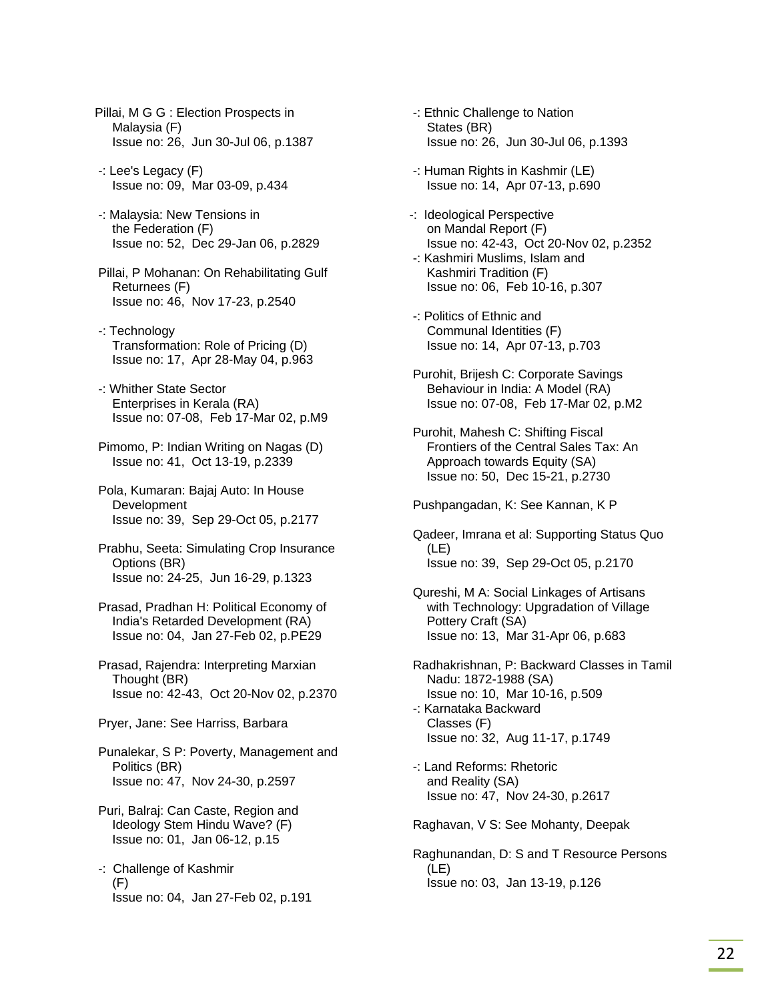- Pillai, M G G : Election Prospects in Malaysia (F) Issue no: 26, Jun 30-Jul 06, p.1387
- -: Lee's Legacy (F) Issue no: 09, Mar 03-09, p.434
- -: Malaysia: New Tensions in the Federation (F) Issue no: 52, Dec 29-Jan 06, p.2829
- Pillai, P Mohanan: On Rehabilitating Gulf Returnees (F) Issue no: 46, Nov 17-23, p.2540
- -: Technology Transformation: Role of Pricing (D) Issue no: 17, Apr 28-May 04, p.963
- -: Whither State Sector Enterprises in Kerala (RA) Issue no: 07-08, Feb 17-Mar 02, p.M9
- Pimomo, P: Indian Writing on Nagas (D) Issue no: 41, Oct 13-19, p.2339
- Pola, Kumaran: Bajaj Auto: In House Development Issue no: 39, Sep 29-Oct 05, p.2177
- Prabhu, Seeta: Simulating Crop Insurance Options (BR) Issue no: 24-25, Jun 16-29, p.1323
- Prasad, Pradhan H: Political Economy of India's Retarded Development (RA) Issue no: 04, Jan 27-Feb 02, p.PE29
- Prasad, Rajendra: Interpreting Marxian Thought (BR) Issue no: 42-43, Oct 20-Nov 02, p.2370
- Pryer, Jane: See Harriss, Barbara
- Punalekar, S P: Poverty, Management and Politics (BR) Issue no: 47, Nov 24-30, p.2597
- Puri, Balraj: Can Caste, Region and Ideology Stem Hindu Wave? (F) Issue no: 01, Jan 06-12, p.15
- -: Challenge of Kashmir (F) Issue no: 04, Jan 27-Feb 02, p.191
- -: Ethnic Challenge to Nation States (BR) Issue no: 26, Jun 30-Jul 06, p.1393
- -: Human Rights in Kashmir (LE) Issue no: 14, Apr 07-13, p.690
- -: Ideological Perspective on Mandal Report (F) Issue no: 42-43, Oct 20-Nov 02, p.2352
- -: Kashmiri Muslims, Islam and Kashmiri Tradition (F) Issue no: 06, Feb 10-16, p.307
- -: Politics of Ethnic and Communal Identities (F) Issue no: 14, Apr 07-13, p.703
- Purohit, Brijesh C: Corporate Savings Behaviour in India: A Model (RA) Issue no: 07-08, Feb 17-Mar 02, p.M2
- Purohit, Mahesh C: Shifting Fiscal Frontiers of the Central Sales Tax: An Approach towards Equity (SA) Issue no: 50, Dec 15-21, p.2730

Pushpangadan, K: See Kannan, K P

- Qadeer, Imrana et al: Supporting Status Quo (LE) Issue no: 39, Sep 29-Oct 05, p.2170
- Qureshi, M A: Social Linkages of Artisans with Technology: Upgradation of Village Pottery Craft (SA) Issue no: 13, Mar 31-Apr 06, p.683
- Radhakrishnan, P: Backward Classes in Tamil Nadu: 1872-1988 (SA) Issue no: 10, Mar 10-16, p.509 -: Karnataka Backward Classes (F) Issue no: 32, Aug 11-17, p.1749
- -: Land Reforms: Rhetoric and Reality (SA) Issue no: 47, Nov 24-30, p.2617

Raghavan, V S: See Mohanty, Deepak

 Raghunandan, D: S and T Resource Persons (LE) Issue no: 03, Jan 13-19, p.126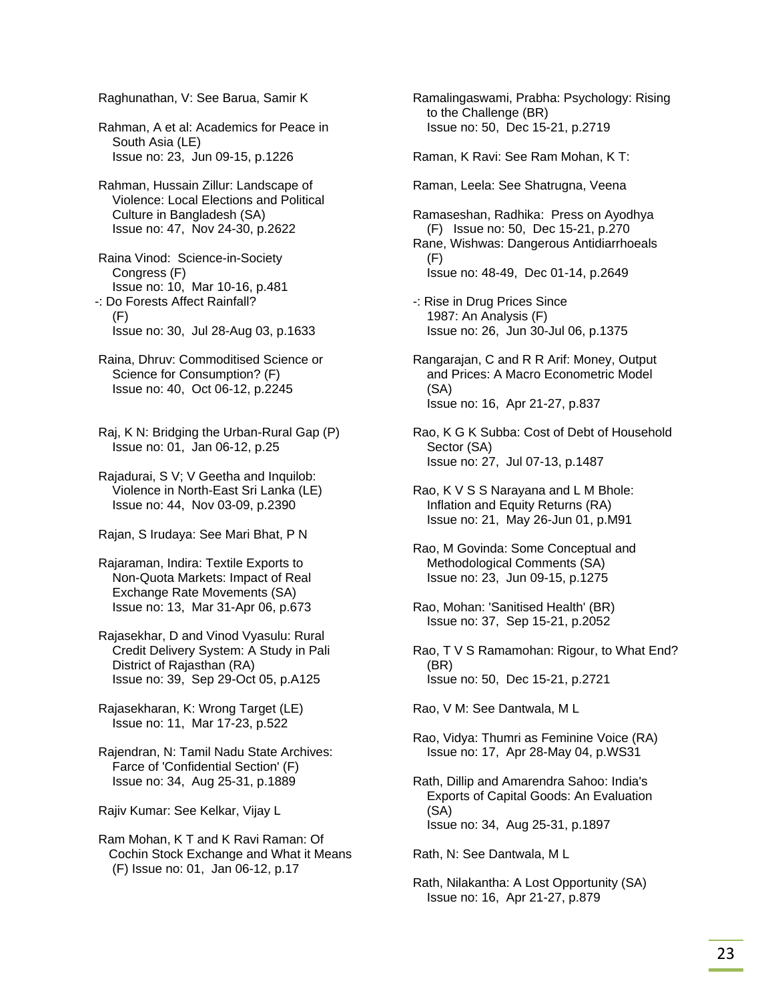Raghunathan, V: See Barua, Samir K

 Rahman, A et al: Academics for Peace in South Asia (LE) Issue no: 23, Jun 09-15, p.1226

 Rahman, Hussain Zillur: Landscape of Violence: Local Elections and Political Culture in Bangladesh (SA) Issue no: 47, Nov 24-30, p.2622

 Raina Vinod: Science-in-Society Congress (F) Issue no: 10, Mar 10-16, p.481 -: Do Forests Affect Rainfall? (F) Issue no: 30, Jul 28-Aug 03, p.1633

- Raina, Dhruv: Commoditised Science or Science for Consumption? (F) Issue no: 40, Oct 06-12, p.2245
- Raj, K N: Bridging the Urban-Rural Gap (P) Issue no: 01, Jan 06-12, p.25

 Rajadurai, S V; V Geetha and Inquilob: Violence in North-East Sri Lanka (LE) Issue no: 44, Nov 03-09, p.2390

Rajan, S Irudaya: See Mari Bhat, P N

 Rajaraman, Indira: Textile Exports to Non-Quota Markets: Impact of Real Exchange Rate Movements (SA) Issue no: 13, Mar 31-Apr 06, p.673

 Rajasekhar, D and Vinod Vyasulu: Rural Credit Delivery System: A Study in Pali District of Rajasthan (RA) Issue no: 39, Sep 29-Oct 05, p.A125

 Rajasekharan, K: Wrong Target (LE) Issue no: 11, Mar 17-23, p.522

 Rajendran, N: Tamil Nadu State Archives: Farce of 'Confidential Section' (F) Issue no: 34, Aug 25-31, p.1889

Rajiv Kumar: See Kelkar, Vijay L

 Ram Mohan, K T and K Ravi Raman: Of Cochin Stock Exchange and What it Means (F) Issue no: 01, Jan 06-12, p.17

 Ramalingaswami, Prabha: Psychology: Rising to the Challenge (BR) Issue no: 50, Dec 15-21, p.2719

Raman, K Ravi: See Ram Mohan, K T:

Raman, Leela: See Shatrugna, Veena

 Ramaseshan, Radhika: Press on Ayodhya (F) Issue no: 50, Dec 15-21, p.270 Rane, Wishwas: Dangerous Antidiarrhoeals (F) Issue no: 48-49, Dec 01-14, p.2649

- -: Rise in Drug Prices Since 1987: An Analysis (F) Issue no: 26, Jun 30-Jul 06, p.1375
- Rangarajan, C and R R Arif: Money, Output and Prices: A Macro Econometric Model (SA) Issue no: 16, Apr 21-27, p.837
- Rao, K G K Subba: Cost of Debt of Household Sector (SA) Issue no: 27, Jul 07-13, p.1487

 Rao, K V S S Narayana and L M Bhole: Inflation and Equity Returns (RA) Issue no: 21, May 26-Jun 01, p.M91

- Rao, M Govinda: Some Conceptual and Methodological Comments (SA) Issue no: 23, Jun 09-15, p.1275
- Rao, Mohan: 'Sanitised Health' (BR) Issue no: 37, Sep 15-21, p.2052
- Rao, T V S Ramamohan: Rigour, to What End? (BR) Issue no: 50, Dec 15-21, p.2721

Rao, V M: See Dantwala, M L

- Rao, Vidya: Thumri as Feminine Voice (RA) Issue no: 17, Apr 28-May 04, p.WS31
- Rath, Dillip and Amarendra Sahoo: India's Exports of Capital Goods: An Evaluation (SA) Issue no: 34, Aug 25-31, p.1897

Rath, N: See Dantwala, M L

 Rath, Nilakantha: A Lost Opportunity (SA) Issue no: 16, Apr 21-27, p.879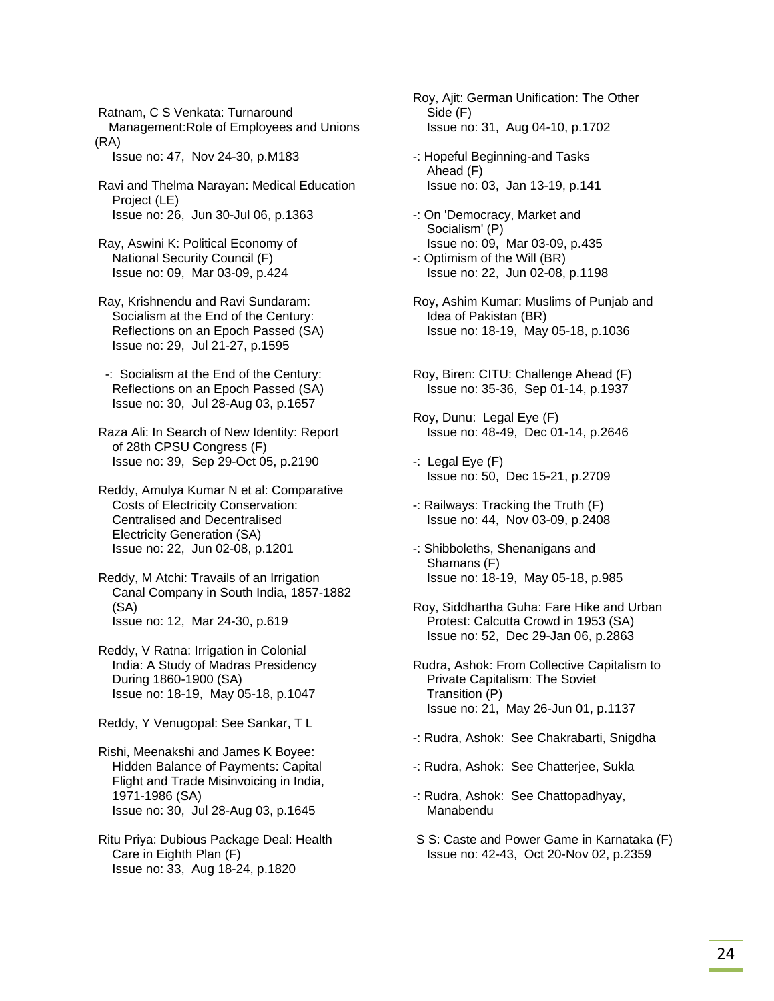Ratnam, C S Venkata: Turnaround Management:Role of Employees and Unions (RA)

Issue no: 47, Nov 24-30, p.M183

 Ravi and Thelma Narayan: Medical Education Project (LE) Issue no: 26, Jun 30-Jul 06, p.1363

 Ray, Aswini K: Political Economy of National Security Council (F) Issue no: 09, Mar 03-09, p.424

 Ray, Krishnendu and Ravi Sundaram: Socialism at the End of the Century: Reflections on an Epoch Passed (SA) Issue no: 29, Jul 21-27, p.1595

 -: Socialism at the End of the Century: Reflections on an Epoch Passed (SA) Issue no: 30, Jul 28-Aug 03, p.1657

 Raza Ali: In Search of New Identity: Report of 28th CPSU Congress (F) Issue no: 39, Sep 29-Oct 05, p.2190

 Reddy, Amulya Kumar N et al: Comparative Costs of Electricity Conservation: Centralised and Decentralised Electricity Generation (SA) Issue no: 22, Jun 02-08, p.1201

 Reddy, M Atchi: Travails of an Irrigation Canal Company in South India, 1857-1882 (SA) Issue no: 12, Mar 24-30, p.619

 Reddy, V Ratna: Irrigation in Colonial India: A Study of Madras Presidency During 1860-1900 (SA) Issue no: 18-19, May 05-18, p.1047

Reddy, Y Venugopal: See Sankar, T L

 Rishi, Meenakshi and James K Boyee: Hidden Balance of Payments: Capital Flight and Trade Misinvoicing in India, 1971-1986 (SA) Issue no: 30, Jul 28-Aug 03, p.1645

 Ritu Priya: Dubious Package Deal: Health Care in Eighth Plan (F) Issue no: 33, Aug 18-24, p.1820

 Roy, Ajit: German Unification: The Other Side (F) Issue no: 31, Aug 04-10, p.1702

 -: Hopeful Beginning-and Tasks Ahead (F) Issue no: 03, Jan 13-19, p.141

 -: On 'Democracy, Market and Socialism' (P) Issue no: 09, Mar 03-09, p.435

 -: Optimism of the Will (BR) Issue no: 22, Jun 02-08, p.1198

 Roy, Ashim Kumar: Muslims of Punjab and Idea of Pakistan (BR) Issue no: 18-19, May 05-18, p.1036

 Roy, Biren: CITU: Challenge Ahead (F) Issue no: 35-36, Sep 01-14, p.1937

 Roy, Dunu: Legal Eye (F) Issue no: 48-49, Dec 01-14, p.2646

 -: Legal Eye (F) Issue no: 50, Dec 15-21, p.2709

 -: Railways: Tracking the Truth (F) Issue no: 44, Nov 03-09, p.2408

 -: Shibboleths, Shenanigans and Shamans (F) Issue no: 18-19, May 05-18, p.985

 Roy, Siddhartha Guha: Fare Hike and Urban Protest: Calcutta Crowd in 1953 (SA) Issue no: 52, Dec 29-Jan 06, p.2863

 Rudra, Ashok: From Collective Capitalism to Private Capitalism: The Soviet Transition (P) Issue no: 21, May 26-Jun 01, p.1137

-: Rudra, Ashok: See Chakrabarti, Snigdha

-: Rudra, Ashok: See Chatterjee, Sukla

 -: Rudra, Ashok: See Chattopadhyay, Manabendu

 S S: Caste and Power Game in Karnataka (F) Issue no: 42-43, Oct 20-Nov 02, p.2359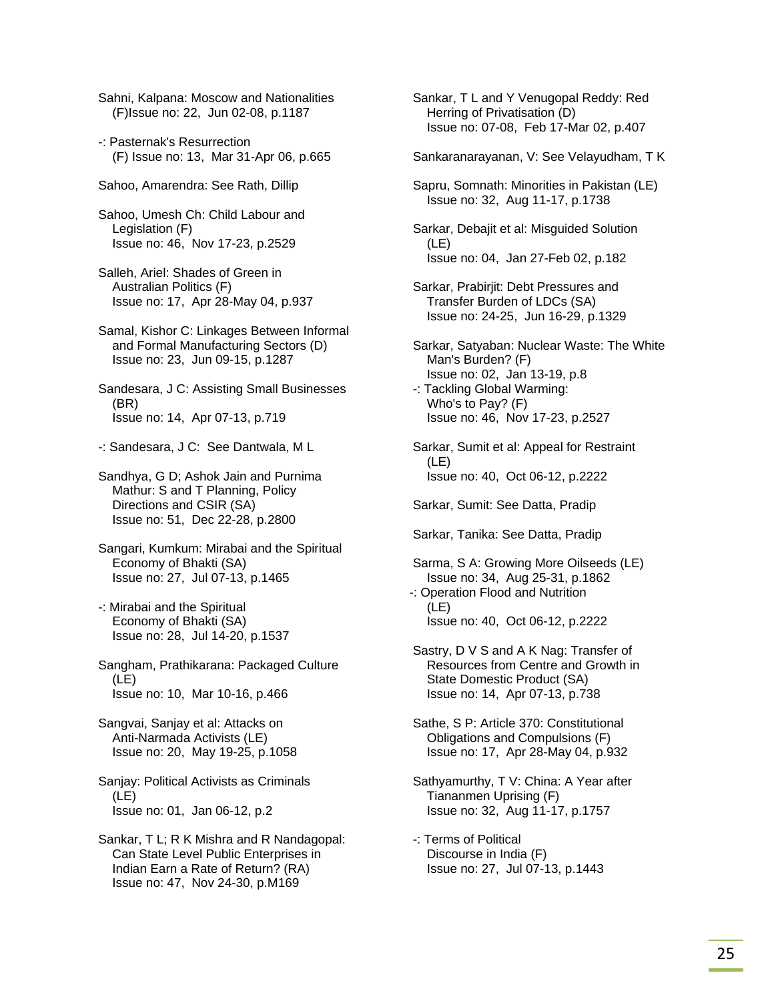Sahni, Kalpana: Moscow and Nationalities (F)Issue no: 22, Jun 02-08, p.1187

- -: Pasternak's Resurrection (F) Issue no: 13, Mar 31-Apr 06, p.665
- Sahoo, Amarendra: See Rath, Dillip
- Sahoo, Umesh Ch: Child Labour and Legislation (F) Issue no: 46, Nov 17-23, p.2529
- Salleh, Ariel: Shades of Green in Australian Politics (F) Issue no: 17, Apr 28-May 04, p.937
- Samal, Kishor C: Linkages Between Informal and Formal Manufacturing Sectors (D) Issue no: 23, Jun 09-15, p.1287
- Sandesara, J C: Assisting Small Businesses (BR) Issue no: 14, Apr 07-13, p.719
- -: Sandesara, J C: See Dantwala, M L
- Sandhya, G D; Ashok Jain and Purnima Mathur: S and T Planning, Policy Directions and CSIR (SA) Issue no: 51, Dec 22-28, p.2800
- Sangari, Kumkum: Mirabai and the Spiritual Economy of Bhakti (SA) Issue no: 27, Jul 07-13, p.1465
- -: Mirabai and the Spiritual Economy of Bhakti (SA) Issue no: 28, Jul 14-20, p.1537
- Sangham, Prathikarana: Packaged Culture (LE) Issue no: 10, Mar 10-16, p.466
- Sangvai, Sanjay et al: Attacks on Anti-Narmada Activists (LE) Issue no: 20, May 19-25, p.1058
- Sanjay: Political Activists as Criminals (LE) Issue no: 01, Jan 06-12, p.2
- Sankar, T L; R K Mishra and R Nandagopal: Can State Level Public Enterprises in Indian Earn a Rate of Return? (RA) Issue no: 47, Nov 24-30, p.M169

 Sankar, T L and Y Venugopal Reddy: Red Herring of Privatisation (D) Issue no: 07-08, Feb 17-Mar 02, p.407

- Sankaranarayanan, V: See Velayudham, T K
- Sapru, Somnath: Minorities in Pakistan (LE) Issue no: 32, Aug 11-17, p.1738
- Sarkar, Debajit et al: Misguided Solution (LE) Issue no: 04, Jan 27-Feb 02, p.182
- Sarkar, Prabirjit: Debt Pressures and Transfer Burden of LDCs (SA) Issue no: 24-25, Jun 16-29, p.1329
- Sarkar, Satyaban: Nuclear Waste: The White Man's Burden? (F) Issue no: 02, Jan 13-19, p.8
- -: Tackling Global Warming: Who's to Pay? (F) Issue no: 46, Nov 17-23, p.2527
- Sarkar, Sumit et al: Appeal for Restraint (LE) Issue no: 40, Oct 06-12, p.2222

Sarkar, Sumit: See Datta, Pradip

- Sarkar, Tanika: See Datta, Pradip
- Sarma, S A: Growing More Oilseeds (LE) Issue no: 34, Aug 25-31, p.1862 -: Operation Flood and Nutrition
- (LE) Issue no: 40, Oct 06-12, p.2222
- Sastry, D V S and A K Nag: Transfer of Resources from Centre and Growth in State Domestic Product (SA) Issue no: 14, Apr 07-13, p.738
- Sathe, S P: Article 370: Constitutional Obligations and Compulsions (F) Issue no: 17, Apr 28-May 04, p.932
- Sathyamurthy, T V: China: A Year after Tiananmen Uprising (F) Issue no: 32, Aug 11-17, p.1757
- -: Terms of Political Discourse in India (F) Issue no: 27, Jul 07-13, p.1443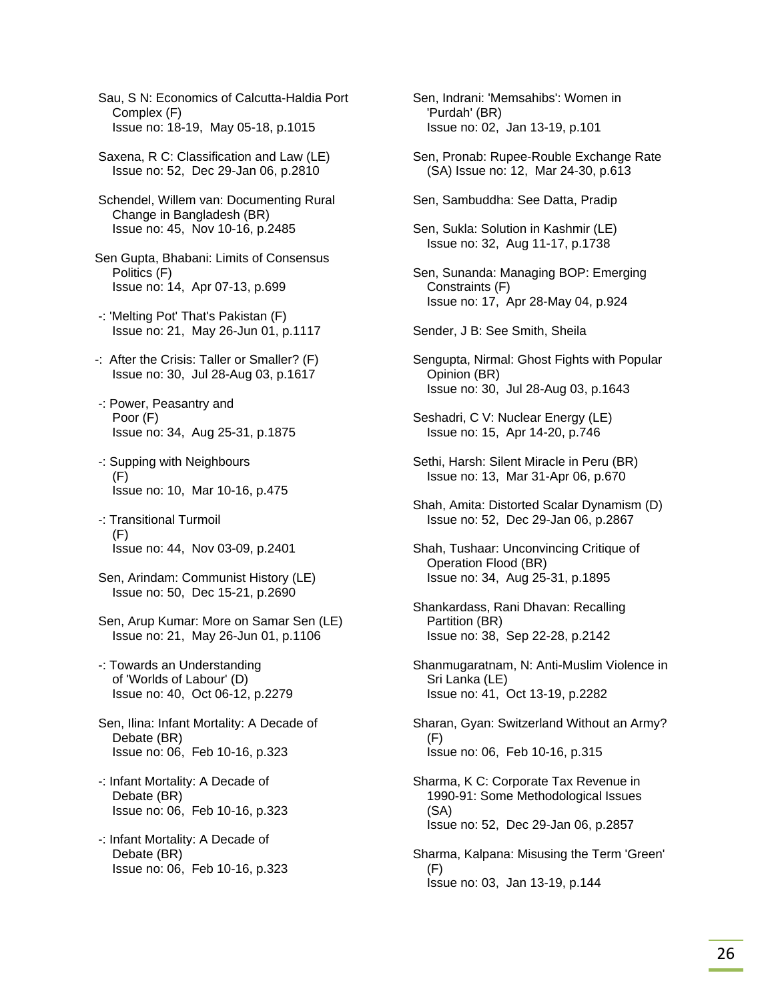Sau, S N: Economics of Calcutta-Haldia Port Complex (F) Issue no: 18-19, May 05-18, p.1015

- Saxena, R C: Classification and Law (LE) Issue no: 52, Dec 29-Jan 06, p.2810
- Schendel, Willem van: Documenting Rural Change in Bangladesh (BR) Issue no: 45, Nov 10-16, p.2485
- Sen Gupta, Bhabani: Limits of Consensus Politics (F) Issue no: 14, Apr 07-13, p.699
- -: 'Melting Pot' That's Pakistan (F) Issue no: 21, May 26-Jun 01, p.1117
- -: After the Crisis: Taller or Smaller? (F) Issue no: 30, Jul 28-Aug 03, p.1617
- -: Power, Peasantry and Poor (F) Issue no: 34, Aug 25-31, p.1875
- -: Supping with Neighbours (F) Issue no: 10, Mar 10-16, p.475
- -: Transitional Turmoil  $(F)$ Issue no: 44, Nov 03-09, p.2401
- Sen, Arindam: Communist History (LE) Issue no: 50, Dec 15-21, p.2690
- Sen, Arup Kumar: More on Samar Sen (LE) Issue no: 21, May 26-Jun 01, p.1106
- -: Towards an Understanding of 'Worlds of Labour' (D) Issue no: 40, Oct 06-12, p.2279
- Sen, Ilina: Infant Mortality: A Decade of Debate (BR) Issue no: 06, Feb 10-16, p.323
- -: Infant Mortality: A Decade of Debate (BR) Issue no: 06, Feb 10-16, p.323
- -: Infant Mortality: A Decade of Debate (BR) Issue no: 06, Feb 10-16, p.323
- Sen, Indrani: 'Memsahibs': Women in 'Purdah' (BR) Issue no: 02, Jan 13-19, p.101
- Sen, Pronab: Rupee-Rouble Exchange Rate (SA) Issue no: 12, Mar 24-30, p.613
- Sen, Sambuddha: See Datta, Pradip
- Sen, Sukla: Solution in Kashmir (LE) Issue no: 32, Aug 11-17, p.1738
- Sen, Sunanda: Managing BOP: Emerging Constraints (F) Issue no: 17, Apr 28-May 04, p.924
- Sender, J B: See Smith, Sheila
- Sengupta, Nirmal: Ghost Fights with Popular Opinion (BR) Issue no: 30, Jul 28-Aug 03, p.1643
- Seshadri, C V: Nuclear Energy (LE) Issue no: 15, Apr 14-20, p.746
- Sethi, Harsh: Silent Miracle in Peru (BR) Issue no: 13, Mar 31-Apr 06, p.670
- Shah, Amita: Distorted Scalar Dynamism (D) Issue no: 52, Dec 29-Jan 06, p.2867
- Shah, Tushaar: Unconvincing Critique of Operation Flood (BR) Issue no: 34, Aug 25-31, p.1895
- Shankardass, Rani Dhavan: Recalling Partition (BR) Issue no: 38, Sep 22-28, p.2142
- Shanmugaratnam, N: Anti-Muslim Violence in Sri Lanka (LE) Issue no: 41, Oct 13-19, p.2282
- Sharan, Gyan: Switzerland Without an Army? (F) Issue no: 06, Feb 10-16, p.315
- Sharma, K C: Corporate Tax Revenue in 1990-91: Some Methodological Issues (SA) Issue no: 52, Dec 29-Jan 06, p.2857
- Sharma, Kalpana: Misusing the Term 'Green' (F) Issue no: 03, Jan 13-19, p.144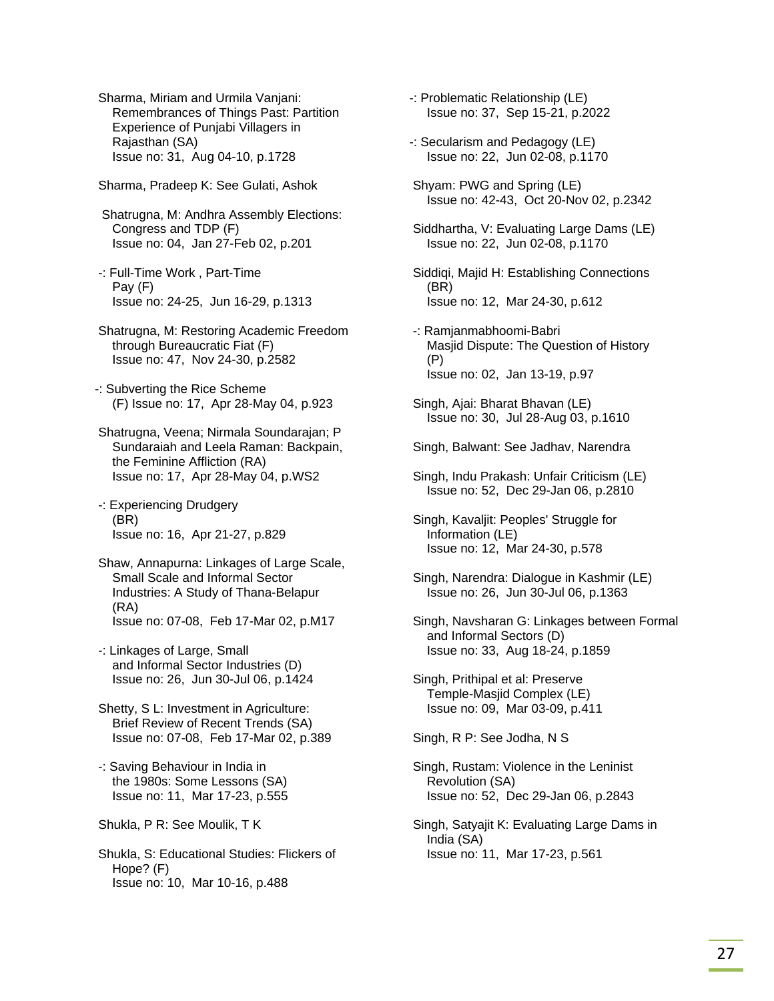Sharma, Miriam and Urmila Vanjani: Remembrances of Things Past: Partition Experience of Punjabi Villagers in Rajasthan (SA) Issue no: 31, Aug 04-10, p.1728

Sharma, Pradeep K: See Gulati, Ashok

 Shatrugna, M: Andhra Assembly Elections: Congress and TDP (F) Issue no: 04, Jan 27-Feb 02, p.201

- -: Full-Time Work , Part-Time Pay (F) Issue no: 24-25, Jun 16-29, p.1313
- Shatrugna, M: Restoring Academic Freedom through Bureaucratic Fiat (F) Issue no: 47, Nov 24-30, p.2582

-: Subverting the Rice Scheme (F) Issue no: 17, Apr 28-May 04, p.923

 Shatrugna, Veena; Nirmala Soundarajan; P Sundaraiah and Leela Raman: Backpain, the Feminine Affliction (RA) Issue no: 17, Apr 28-May 04, p.WS2

 -: Experiencing Drudgery (BR) Issue no: 16, Apr 21-27, p.829

 Shaw, Annapurna: Linkages of Large Scale, Small Scale and Informal Sector Industries: A Study of Thana-Belapur (RA) Issue no: 07-08, Feb 17-Mar 02, p.M17

 -: Linkages of Large, Small and Informal Sector Industries (D) Issue no: 26, Jun 30-Jul 06, p.1424

 Shetty, S L: Investment in Agriculture: Brief Review of Recent Trends (SA) Issue no: 07-08, Feb 17-Mar 02, p.389

 -: Saving Behaviour in India in the 1980s: Some Lessons (SA) Issue no: 11, Mar 17-23, p.555

Shukla, P R: See Moulik, T K

 Shukla, S: Educational Studies: Flickers of Hope? (F) Issue no: 10, Mar 10-16, p.488

-: Problematic Relationship (LE) Issue no: 37, Sep 15-21, p.2022

- -: Secularism and Pedagogy (LE) Issue no: 22, Jun 02-08, p.1170
- Shyam: PWG and Spring (LE) Issue no: 42-43, Oct 20-Nov 02, p.2342
- Siddhartha, V: Evaluating Large Dams (LE) Issue no: 22, Jun 02-08, p.1170

 Siddiqi, Majid H: Establishing Connections (BR) Issue no: 12, Mar 24-30, p.612

- -: Ramjanmabhoomi-Babri Masjid Dispute: The Question of History (P) Issue no: 02, Jan 13-19, p.97
- Singh, Ajai: Bharat Bhavan (LE) Issue no: 30, Jul 28-Aug 03, p.1610
- Singh, Balwant: See Jadhav, Narendra
- Singh, Indu Prakash: Unfair Criticism (LE) Issue no: 52, Dec 29-Jan 06, p.2810
- Singh, Kavaljit: Peoples' Struggle for Information (LE) Issue no: 12, Mar 24-30, p.578
- Singh, Narendra: Dialogue in Kashmir (LE) Issue no: 26, Jun 30-Jul 06, p.1363
- Singh, Navsharan G: Linkages between Formal and Informal Sectors (D) Issue no: 33, Aug 18-24, p.1859

 Singh, Prithipal et al: Preserve Temple-Masjid Complex (LE) Issue no: 09, Mar 03-09, p.411

Singh, R P: See Jodha, N S

- Singh, Rustam: Violence in the Leninist Revolution (SA) Issue no: 52, Dec 29-Jan 06, p.2843
- Singh, Satyajit K: Evaluating Large Dams in India (SA) Issue no: 11, Mar 17-23, p.561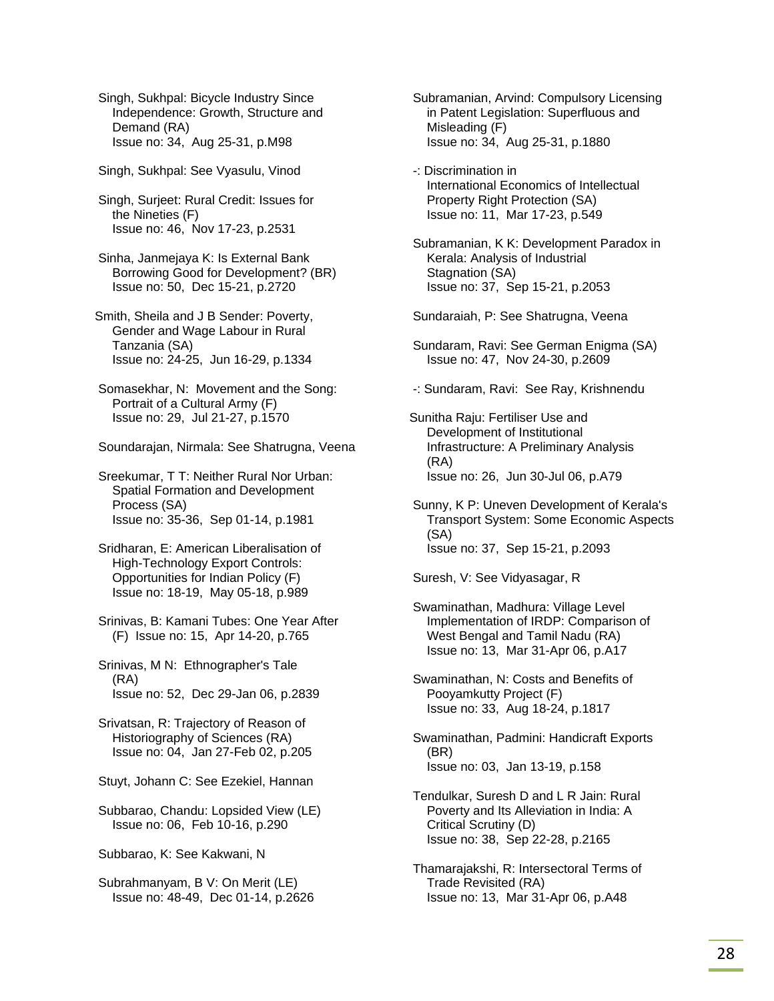Singh, Sukhpal: Bicycle Industry Since Independence: Growth, Structure and Demand (RA) Issue no: 34, Aug 25-31, p.M98

Singh, Sukhpal: See Vyasulu, Vinod

 Singh, Surjeet: Rural Credit: Issues for the Nineties (F) Issue no: 46, Nov 17-23, p.2531

 Sinha, Janmejaya K: Is External Bank Borrowing Good for Development? (BR) Issue no: 50, Dec 15-21, p.2720

Smith, Sheila and J B Sender: Poverty, Gender and Wage Labour in Rural Tanzania (SA) Issue no: 24-25, Jun 16-29, p.1334

 Somasekhar, N: Movement and the Song: Portrait of a Cultural Army (F) Issue no: 29, Jul 21-27, p.1570

Soundarajan, Nirmala: See Shatrugna, Veena

 Sreekumar, T T: Neither Rural Nor Urban: Spatial Formation and Development Process (SA) Issue no: 35-36, Sep 01-14, p.1981

 Sridharan, E: American Liberalisation of High-Technology Export Controls: Opportunities for Indian Policy (F) Issue no: 18-19, May 05-18, p.989

 Srinivas, B: Kamani Tubes: One Year After (F) Issue no: 15, Apr 14-20, p.765

 Srinivas, M N: Ethnographer's Tale (RA) Issue no: 52, Dec 29-Jan 06, p.2839

 Srivatsan, R: Trajectory of Reason of Historiography of Sciences (RA) Issue no: 04, Jan 27-Feb 02, p.205

Stuyt, Johann C: See Ezekiel, Hannan

 Subbarao, Chandu: Lopsided View (LE) Issue no: 06, Feb 10-16, p.290

Subbarao, K: See Kakwani, N

 Subrahmanyam, B V: On Merit (LE) Issue no: 48-49, Dec 01-14, p.2626  Subramanian, Arvind: Compulsory Licensing in Patent Legislation: Superfluous and Misleading (F) Issue no: 34, Aug 25-31, p.1880

 -: Discrimination in International Economics of Intellectual Property Right Protection (SA) Issue no: 11, Mar 17-23, p.549

 Subramanian, K K: Development Paradox in Kerala: Analysis of Industrial Stagnation (SA) Issue no: 37, Sep 15-21, p.2053

Sundaraiah, P: See Shatrugna, Veena

 Sundaram, Ravi: See German Enigma (SA) Issue no: 47, Nov 24-30, p.2609

-: Sundaram, Ravi: See Ray, Krishnendu

Sunitha Raju: Fertiliser Use and Development of Institutional Infrastructure: A Preliminary Analysis (RA) Issue no: 26, Jun 30-Jul 06, p.A79

 Sunny, K P: Uneven Development of Kerala's Transport System: Some Economic Aspects (SA) Issue no: 37, Sep 15-21, p.2093

Suresh, V: See Vidyasagar, R

 Swaminathan, Madhura: Village Level Implementation of IRDP: Comparison of West Bengal and Tamil Nadu (RA) Issue no: 13, Mar 31-Apr 06, p.A17

 Swaminathan, N: Costs and Benefits of Pooyamkutty Project (F) Issue no: 33, Aug 18-24, p.1817

 Swaminathan, Padmini: Handicraft Exports (BR) Issue no: 03, Jan 13-19, p.158

 Tendulkar, Suresh D and L R Jain: Rural Poverty and Its Alleviation in India: A Critical Scrutiny (D) Issue no: 38, Sep 22-28, p.2165

 Thamarajakshi, R: Intersectoral Terms of Trade Revisited (RA) Issue no: 13, Mar 31-Apr 06, p.A48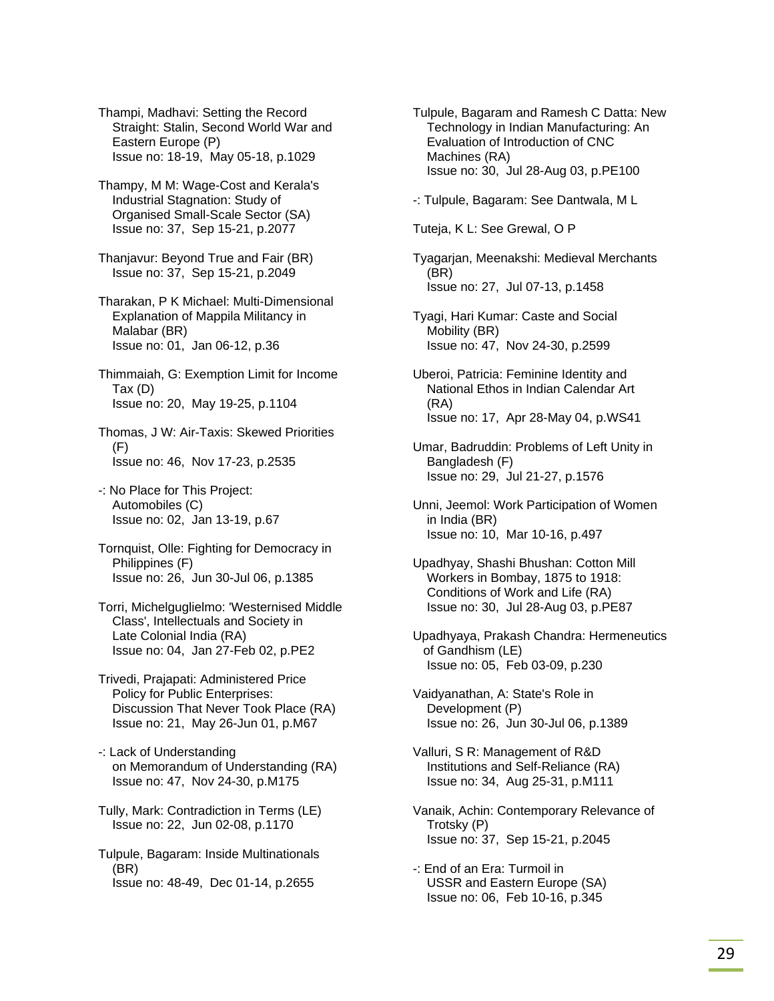Thampi, Madhavi: Setting the Record Straight: Stalin, Second World War and Eastern Europe (P) Issue no: 18-19, May 05-18, p.1029

 Thampy, M M: Wage-Cost and Kerala's Industrial Stagnation: Study of Organised Small-Scale Sector (SA) Issue no: 37, Sep 15-21, p.2077

 Thanjavur: Beyond True and Fair (BR) Issue no: 37, Sep 15-21, p.2049

 Tharakan, P K Michael: Multi-Dimensional Explanation of Mappila Militancy in Malabar (BR) Issue no: 01, Jan 06-12, p.36

 Thimmaiah, G: Exemption Limit for Income Tax (D) Issue no: 20, May 19-25, p.1104

 Thomas, J W: Air-Taxis: Skewed Priorities  $(F)$ Issue no: 46, Nov 17-23, p.2535

- -: No Place for This Project: Automobiles (C) Issue no: 02, Jan 13-19, p.67
- Tornquist, Olle: Fighting for Democracy in Philippines (F) Issue no: 26, Jun 30-Jul 06, p.1385
- Torri, Michelguglielmo: 'Westernised Middle Class', Intellectuals and Society in Late Colonial India (RA) Issue no: 04, Jan 27-Feb 02, p.PE2
- Trivedi, Prajapati: Administered Price Policy for Public Enterprises: Discussion That Never Took Place (RA) Issue no: 21, May 26-Jun 01, p.M67
- -: Lack of Understanding on Memorandum of Understanding (RA) Issue no: 47, Nov 24-30, p.M175
- Tully, Mark: Contradiction in Terms (LE) Issue no: 22, Jun 02-08, p.1170

 Tulpule, Bagaram: Inside Multinationals (BR) Issue no: 48-49, Dec 01-14, p.2655

 Tulpule, Bagaram and Ramesh C Datta: New Technology in Indian Manufacturing: An Evaluation of Introduction of CNC Machines (RA) Issue no: 30, Jul 28-Aug 03, p.PE100

- -: Tulpule, Bagaram: See Dantwala, M L
- Tuteja, K L: See Grewal, O P

 Tyagarjan, Meenakshi: Medieval Merchants (BR) Issue no: 27, Jul 07-13, p.1458

 Tyagi, Hari Kumar: Caste and Social Mobility (BR) Issue no: 47, Nov 24-30, p.2599

 Uberoi, Patricia: Feminine Identity and National Ethos in Indian Calendar Art (RA) Issue no: 17, Apr 28-May 04, p.WS41

 Umar, Badruddin: Problems of Left Unity in Bangladesh (F) Issue no: 29, Jul 21-27, p.1576

 Unni, Jeemol: Work Participation of Women in India (BR) Issue no: 10, Mar 10-16, p.497

 Upadhyay, Shashi Bhushan: Cotton Mill Workers in Bombay, 1875 to 1918: Conditions of Work and Life (RA) Issue no: 30, Jul 28-Aug 03, p.PE87

 Upadhyaya, Prakash Chandra: Hermeneutics of Gandhism (LE) Issue no: 05, Feb 03-09, p.230

 Vaidyanathan, A: State's Role in Development (P) Issue no: 26, Jun 30-Jul 06, p.1389

 Valluri, S R: Management of R&D Institutions and Self-Reliance (RA) Issue no: 34, Aug 25-31, p.M111

 Vanaik, Achin: Contemporary Relevance of Trotsky (P) Issue no: 37, Sep 15-21, p.2045

 -: End of an Era: Turmoil in USSR and Eastern Europe (SA) Issue no: 06, Feb 10-16, p.345